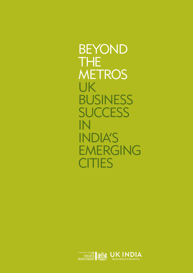BEYOND THE **METROS** UK BUSINESS **SUCCESS** IN INDIA'S EMERGING **CITIES** 

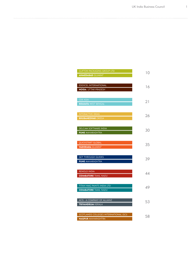| ULIFTUN PAUNAGING GROUP LID                                       | 10 |
|-------------------------------------------------------------------|----|
| <b>AHMEDABAD GUJARAT</b>                                          |    |
| <b>EDEXCEL INTERNATIONAL</b><br><b>NOIDA UTTAR PRADESH</b>        | 16 |
|                                                                   |    |
| <b>CDE ASIA</b>                                                   | 21 |
| <b>KOLKATA WEST BENGAL</b>                                        |    |
| <b>INTERACTIVE IDEAS</b>                                          | 26 |
| <b>BHUBANESWAR ORISSA</b>                                         |    |
|                                                                   |    |
| DELCAM SOFTWARE INDIA<br><b>PUNE MAHARASHTRA</b>                  | 30 |
|                                                                   |    |
| <b>QUICKSTART GLOBAL</b>                                          | 35 |
| <b>VADODARA GUJARAT</b>                                           |    |
| <b>GET THROUGH GUIDES</b>                                         | 39 |
| <b>PUNE</b> MAHARASHTRA                                           |    |
| <b>RENOLD INDIA</b>                                               |    |
| <b>COIMBATORE TAMIL NADU</b>                                      | 44 |
|                                                                   |    |
| <b>TITAN HMG PAINTS INDIA LTD</b><br><b>COIMBATORE TAMIL NADU</b> | 49 |
|                                                                   |    |
| ACIS - A COMPANY OF ALLIANZ                                       | 53 |
| <b>TRIVANDRUM KERALA</b>                                          |    |
| SCOTLANDS COLLEGES INTERNATIONAL (SCI)                            |    |
| <b>NAGPUR MAHARASHTRA</b>                                         | 58 |

CLIFTON PACKAGING GROUP LTD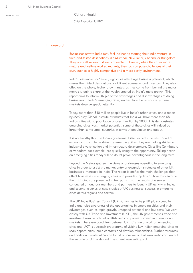#### Richard Heald

Chief Executive, UKIBC

## I. Foreword

Businesses new to India may feel inclined to starting their India venture in tried-and-tested destinations like Mumbai, New Delhi, Chennai or Bangalore. They are well known and well connected. However, while they offer more mature and well-networked markets, they too can pose challenges of their own, such as a highly competitive and a more costly environment.

India's less-known or "emerging" cities offer huge business potential, which makes them ideal destinations for UK entrepreneurs and investors. They also offer, on the whole, higher growth rates, as they come from behind the major metros to gain a share of the wealth created by India's rapid growth. This report aims to inform UK plc of the advantages and disadvantages of doing businesses in India's emerging cities, and explore the reasons why these markets deserve special attention.

Today, more than 340 million people live in India's urban cities, and a report by McKinsey Global Institute estimates that India will have more than 68 Indian cities with a population of over 1 million by 2030. This demonstrates emerging cities' vast market potential: some of these cities will indeed be larger than some small countries in terms of population and output.

It is noteworthy that the Indian government itself expects the next round of economic growth to be driven by emerging cities; they are making strides in industrial diversification and infrastructure development. Cities like Coimbatore or Vadodara, for example, are quickly rising to the opportunity. Taking action on emerging cities today will no doubt prove advantageous in the long term.

Beyond the Metros gathers the views of businesses operating in emerging cities in order to assist the market entry or expansion strategies of other UK businesses interested in India. The report identifies the main challenges that affect businesses in emerging cities and provides top tips on how to overcome them. Findings are presented in two parts: first, the results of a survey conducted among our members and partners to identify UK activity in India; and second, a series of case studies of UK businesses' success in emerging cities across regions and sectors.

The UK India Business Council (UKIBC) wishes to help UK plc succeed in India and raise awareness of the opportunities in emerging cities and their advantages, such as rapid growth, untapped potential and low costs. We work closely with UK Trade and Investment (UKTI), the UK government's trade and investment arm, which helps UK-based companies succeed in international markets. There are good links between UKIBC's line of work on emerging cities and UKTI's outreach programme of visiting key Indian emerging cities to scan opportunities, build contacts and develop relationships. Further resources and additional material can be found on our website at www.ukibc.com and at the website of UK Trade and Investment www.ukti.gov.uk.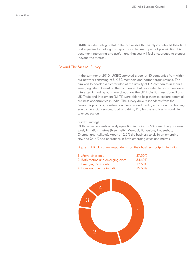UKIBC is extremely grateful to the businesses that kindly contributed their time and expertise to making this report possible. We hope that you will find this document interesting and useful, and that you will feel encouraged to pioneer 'beyond the metros'.

#### II. Beyond The Metros: Survey

In the summer of 2010, UKIBC surveyed a pool of 40 companies from within our network consisting of UKIBC members and partner organisations. The aim was to develop a clearer idea of the activity of UK companies in India's emerging cities. Almost all the companies that responded to our survey were interested in finding out more about how the UK India Business Council and UK Trade and Investment (UKTI) were able to help them to explore potential business opportunities in India. The survey drew respondents from the consumer products, construction, creative and media, education and training, energy, financial services, food and drink, ICT, leisure and tourism and life sciences sectors.

#### Survey Findings

Of those respondents already operating in India, 37.5% were doing business solely in India's metros (New Delhi, Mumbai, Bangalore, Hyderabad, Chennai and Kolkata). Around 12.5% did business solely in an emerging city, and 34.4% had operations in both emerging cities and metros.

#### Figure 1: UK plc survey respondents, on their business footprint in India

| 1. Metro cities only               | 37.50% |
|------------------------------------|--------|
| 2. Both metros and emerging cities | 34.40% |
| 3. Emerging cities only            | 12.50% |
| 4. Does not operate in India       | 15.60% |

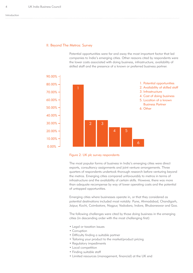#### II. Beyond The Metros: Survey

Potential opportunities were far and away the most important factor that led companies to India's emerging cities. Other reasons cited by respondents were the lower costs associated with doing business, infrastructure, availability of skilled staff and the presence of a known or preferred business partner.





The most popular forms of business in India's emerging cities were direct exports, consultancy assignments and joint venture arrangements. Three quarters of respondents undertook thorough research before venturing beyond the metros. Emerging cities compared unfavourably to metros in terms of infrastructure and the availability of certain skills. However, there was more than adequate recompense by way of lower operating costs and the potential of untapped opportunities.

Emerging cities where businesses operate in, or that they considered as potential destinations included most notably: Pune, Ahmadabad, Chandigarh, Jaipur, Kochi, Coimbatore, Nagpur, Vadodara, Indore, Bhubaneswar and Goa.

The following challenges were cited by those doing business in the emerging cities (in descending order with the most challenging first):

- Legal or taxation issues
- Corruption
- Difficulty finding a suitable partner
- Tailoring your product to the market/product pricing
- Regulatory impediments
- Local competition
- Finding suitable staff
- Limited resources (management, inancial) at the UK end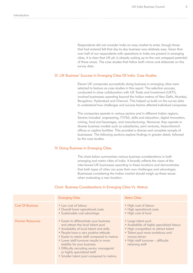Respondents did not consider India an easy market to enter, though those that had entered felt that day-to-day business was relatively easy. Given that over half of our respondents with operations in India are present in emerging cities, it is clear that UK plc is already waking up to the vast untapped potential of these areas. The case studies that follow both mirror and elaborate on the survey data.

#### III. UK Business' Success In Emerging Cities Of India: Case Studies

Eleven UK companies successfully doing business in emerging cities were selected to feature as case studies in this report. The selection process, conducted in close collaboration with UK Trade and Investment (UKTI), involved businesses operating beyond the Indian metros of New Delhi, Mumbai, Bangalore, Hyderabad and Chennai. This helped us build on the survey data to understand how challenges and success factors affected individual companies.

The companies operate in various sectors and in different Indian regions. Sectors included: engineering, IT/ITeS, skills and education, digital innovation, mining, food and beverages, and manufacturing. Moreover, they operate in diverse business models such as subsidiaries, joint ventures, liaison/branch offices or captive facilities. This provided a diverse and complete sample of businesses. The following sections explore findings in greater detail, followed by the case studies.

#### IV. Doing Business In Emerging Cities

The chart below summarises various business considerations in both emerging and metro cities of India. It broadly reflects the views of the interviewed UK businesses operating in these locations and demonstrates that both types of cities can pose their own challenges and advantages. Businesses considering the Indian market should weigh up these issues when evaluating a new location.

## Chart: Business Considerations In Emerging Cities Vs. Metros

|                         | <b>Emerging Cities</b>                                                                                                                                                                                                                                                                                                                                                                                               | <b>Metro Cities</b>                                                                                                                                                                                                     |
|-------------------------|----------------------------------------------------------------------------------------------------------------------------------------------------------------------------------------------------------------------------------------------------------------------------------------------------------------------------------------------------------------------------------------------------------------------|-------------------------------------------------------------------------------------------------------------------------------------------------------------------------------------------------------------------------|
| <b>Cost Of Business</b> | • Low cost of labour<br>• Overall lower operational costs<br>· Sustainable cost advantage                                                                                                                                                                                                                                                                                                                            | · High cost of labour<br>• High operational costs<br>• High cost of land                                                                                                                                                |
| <b>Human Resources</b>  | • Easier to differentiate your business<br>and attract the local talent pool<br>• Availability of local talent and skills<br>• People have a very positive attitude<br>• Easier to retain staff compared to metros<br>• Lower staff turnover results in more<br>stability for your business<br>• Difficulty recruiting senior, managerial<br>or highly specialised staff<br>• Smaller talent pool compared to metros | • Large talent pool<br>• Availability of highly specialised labour<br>• High competition to attract talent<br>• Talent pool more ambitious and<br>money-driven<br>• High staff turnover - difficulty<br>retaining staff |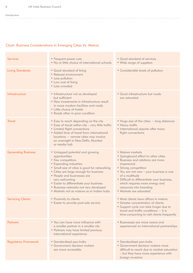. . . . . . . . .

# Chart: Business Considerations In Emerging Cities Vs. Metros

| <b>Services</b>             | • Frequent power cuts<br>. No or little choice of international schools                                                                                                                                                                                                                                                                                                        | • Good standard of services<br>• Wide range of suppliers                                                                                                                                                                                                                                                                                 |
|-----------------------------|--------------------------------------------------------------------------------------------------------------------------------------------------------------------------------------------------------------------------------------------------------------------------------------------------------------------------------------------------------------------------------|------------------------------------------------------------------------------------------------------------------------------------------------------------------------------------------------------------------------------------------------------------------------------------------------------------------------------------------|
| <b>Living Standards</b>     | • Good standard of living<br>• Relaxed environment<br>• Less pollution<br>• Low cost of living<br>• Less crowded                                                                                                                                                                                                                                                               | • Considerable levels of pollution                                                                                                                                                                                                                                                                                                       |
| Infrastructure              | • Infrastructure not as developed<br>but sufficient<br>• New investments in infrastructure result<br>in more modern facilities and roads<br>• Little choice of hotels<br>• Roads often in poor condition                                                                                                                                                                       | • Good infrastructure but roads<br>are saturated                                                                                                                                                                                                                                                                                         |
| <b>Travel</b>               | • Easy to reach depending on the city<br>• Ease of travel within city - very little traffic<br>• Limited flight connections<br>• Added time of travel from international<br>locations - remote cities may involve<br>an overnight in New Delhi, Mumbai<br>or nearby hub                                                                                                        | • Huge size of the cities - long distances<br>• Heavy traffic<br>• International airports offer many<br>flight connections                                                                                                                                                                                                               |
| <b>Generating Business</b>  | • Untapped potential and growing<br>opportunities<br>• Few competitors<br>• Expanding industries<br>• Small size of cities is good for networking<br>• Cities are large enough for business<br>• People and businesses are<br>very welcoming<br>• Easier to differentiate your business<br>· Business networks not very developed<br>• Markets not as mature as in Indian hubs | • Mature markets<br>• Springboard effect to other cities<br>· Business and relations are more<br>impersonal<br>• Strong competition<br>• You are not new - your business is one<br>of a multitude<br>• Difficult to differentiate your business,<br>which requires more energy and<br>resources into branding<br>• Markets are saturated |
| <b>Servicing Clients</b>    | • Proximity to clients<br>• Easier to provide post-sale service                                                                                                                                                                                                                                                                                                                | • Most clients have offices in metros<br>• Greater concentration of clients<br>• Support cycle can take longer due to<br>travel and traffic conditions $-$ it is<br>time-consuming to visit clients frequently                                                                                                                           |
| Partners                    | • You can have more influence with<br>a smaller partner in a smaller city<br>• Partners may have limited previous<br>international experience                                                                                                                                                                                                                                  | · Businesses are more aware and<br>experienced on international partnerships                                                                                                                                                                                                                                                             |
| <b>Regulatory Framework</b> | · Standardised pan-India<br>· Government decision makers<br>are more accessible                                                                                                                                                                                                                                                                                                | · Standardised pan-India<br>· Government decision makers more<br>difficult to reach due to market saturation<br>- but they have more experience with<br>foreign investors                                                                                                                                                                |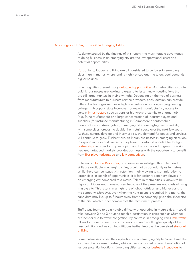#### Advantages Of Doing Business In Emerging Cities

As demonstrated by the findings of this report, the most notable advantages of doing business in an emerging city are the low operational costs and potential opportunities.

Cost of land, labour and living are all considered to be lower in emerging cities than in metros where land is highly priced and the talent pool demands higher salaries.

Emerging cities present many untapped opportunities. As metro cities saturate quickly, businesses are looking to expand to lesser-known destinations that are still large markets in their own right. Depending on the type of business, from manufacturers to business service providers, each location can provide different advantages such as a high concentration of colleges (engineering colleges in Nagpur); state incentives for export manufacturing; access to certain infrastructure such as ports or highways; proximity to a large hub (e.g. Pune to Mumbai); or a large concentration of industry players and suppliers (for instance manufacturing in Coimbatore or automobile manufacturers in Aurangabad). Emerging cities are high-growth markets, with some cities forecast to double their retail space over the next few years As these centres develop and incomes rise, the demand for goods and services will continue to grow. Furthermore, as Indian businesses in emerging cities look to expand in India and overseas, they have a newfound appetite for foreign partnerships in order to acquire capital and know-how and to grow. Exploring new and untapped markets provides businesses with the opportunity to benefit from first-player advantage and low competition.

In terms of Human Resources, businesses acknowledged that talent and skills are available in emerging cities, albeit not as abundantly as in metros. While there can be issues with retention, mainly owing to staff migration to larger cities in search of opportunities, it is far easier to retain employees in an emerging city compared to a metro. Talent in metro cities is known to be highly ambitious and money-driven because of the pressures and costs of living in a big city. This results in a high rate of labour attrition and higher costs for the company. Moreover, even when the right talent is recruited in a metro, the candidate may live up to 3 hours away from the company, given the sheer size of the city, which further complicates the recruitment process.

Traffic was found to be a notable difficulty of operating in metro cities. It could take between 2 and 3 hours to reach a destination in cities such as Mumbai or Chennai due to traffic congestion. By contrast, in emerging cities little traffic allows for more frequent visits to clients and an overall higher quality of life. Less pollution and welcoming attitudes further improve the perceived standard of living.

Some businesses based their operations in an emerging city because it was the location of a preferred partner, while others conducted a careful evaluation of various potential locations. Emerging cities served as business incubators to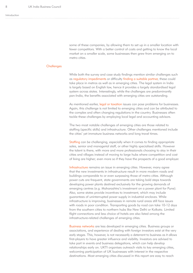8

some of these companies, by allowing them to set up in a smaller location with fewer competitors. With a better control of costs and getting to know the local market on a smaller scale, some businesses then grew from emerging on to metro cities.

#### **Challenges**

While both the survey and case study findings mention similar challenges such as regulatory impediments or difficulty finding a suitable partner, these could take place in metros as well as in emerging cities. The legal system in India is largely based on English law, hence it provides a largely standardised legal system across states. Interestingly, while the challenges are predominantly pan-India, the benefits associated with emerging cities are outstanding.

As mentioned earlier, legal or taxation issues can pose problems for businesses. Again, this challenge is not limited to emerging cities and can be attributed to the complex and often changing regulations in the country. Businesses often tackle these challenges by employing local legal and accounting advisors.

The two most notable challenges of emerging cities are those related to staffing (specific skills) and infrastructure. Other challenges mentioned include the cities' yet immature business networks and long travel times.

Staffing can be challenging, especially when it comes to finding appropriate sales, senior and managerial staff, or other highly specialised skills. However the talent is there, with more and more professionals choosing to stay in their cities and villages instead of moving to large hubs where competition and cost of living are higher; even more so if they have the prospects of a good employer.

Infrastructure remains an issue in emerging cities. However, many agree that the new investments in infrastructure result in more modern roads and buildings comparable to or even surpassing those of metro cities. Although power cuts are frequent, state governments are taking bold steps towards developing power plants destined exclusively for the growing demands of emerging centres (e.g. Maharashtra's investment on a power plant for Pune). Also, some states provide incentives to investment, which may include guarantees of uninterrupted power supply in industrial enclaves. While infrastructure is improving, businesses in remote rural areas still face issues with roads in poor condition. Transporting goods by road can take 10-12 days from the southern cities to northern hubs like New Delhi or Kolkata. Limited flight connections and less choice of hotels are also listed among the infrastructure-related challenges of emerging cities.

Business networks are less developed in emerging cities. Business groups or associations, and experience of dealing with foreign investors exist at the very early stages. This, however, is not necessarily a deterrent to business as it allows first-players to have greater influence and visibility. Investors are advised to take part in events and business delegations, which can help develop relationships early on. UKTI organises outreach visits to key emerging cities, welcoming participation of UK businesses with interest in the respective destinations. Most emerging cities discussed in this report are easy to reach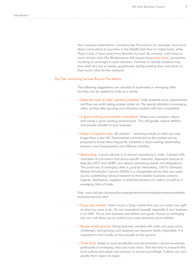from overseas destinations. Locations like Trivandrum, for example, have more direct connections to countries in the Middle East than to Indian hubs; while Pune is only 3 hours away from Mumbai by road. By contrast, rural areas or more remote cities like Bhubaneswar still require long travel times, sometimes involving an overnight in each direction. Factories in remote locations may have staff who live in nearby guesthouses during working days and return to their home cities for the weekend.

#### Top Tips: Achieving Success Beyond The Metros

The following suggestions are valuable to businesses in emerging cities but they can be applied to India as a whole:

- Make the most of India's growing potential: India presents many opportunities and they are worth taking prompt action on. Pay special attention to emerging cities, as they offer growing and attractive markets with few competitors.
- A good working environment is beneficial: Shape your company culture and create a good working environment. This will greatly reduce attrition and provide stability to your business.
- Adopt a long-term view: Be patient achieving results in India can take longer than in the UK. Demonstrate commitment to the market and be prepared to travel there frequently. Establish a close working relationship between your headquarters and offshore activities.
- Networking: a good network is of utmost importance in India. Connect with chambers of commerce and sector-specific networks. Approach sources of help like UKTI and UKIBC and attend networking events and delegations. The small size of emerging cities is good for networking. UKTI's Overseas Market Introduction Service (OMIS) is a chargeable service that can assist you by undertaking tailored research to find suitable business contacts (agents, distributors, suppliers or potential partners) in metros as well as in emerging cities of India.

Visit: www.ukti.gov.uk/export/accessinginternationalmarkets/overseasmarketintroductionservice.html

- Focus your market: India is such a large market that you can easily lose sight of what you want to do. Do not overextend yourself, especially if your business is an SME. Focus your business and define your goals. Favour an emerging city, as it will allow you to control your costs and have more visibility.
- People on the ground: Doing business remotely with India can pose many challenges, and growing your business can become nearly impossible. It is important to hire locally or have people on the ground.
- Think local: Adapt to local sensitivities and demonstrate cultural awareness, particularly in emerging cities and rural areas. Take the time to research the local culture and adapt your product or service accordingly. Culture can vary greatly from region to region.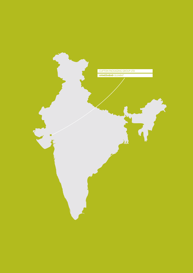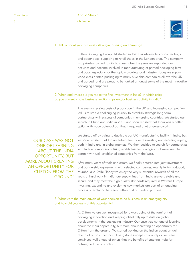1

Khalid Sheikh

Chairman



#### 1. Tell us about your business - its origin, offering and coverage.

Clifton Packaging Group Ltd started in 1981 as wholesalers of carrier bags and paper bags, supplying to retail shops in the London area. The company is a privately owned family business. Over the years we expanded our activities and became involved in manufacturing of printed packaging films and bags, especially for the rapidly growing food industry. Today we supply world-class printed packaging to many blue chip companies all over the UK and abroad, and are proud to be ranked amongst some of the most innovative packaging companies.

# 2. When and where did you make the first investment in India? In which cities do you currently have business relationships and/or business activity in India?

The ever-increasing costs of production in the UK and increasing competition led us to start a challenging journey to establish strategic long-term partnerships with successful companies in emerging countries. We started our search in China and India in 2002 and soon realised that India was a better option with huge potential but that it required a lot of groundwork.

'OUR CASE WAS NOT ONE OF LEARNING ABOUT THE INDIA OPPORTUNITY, BUT MORE ABOUT CREATING AN OPPORTUNITY FOR CLIFTON FROM THE GROUND' We started off by trying to duplicate our UK manufacturing facility in India, but we soon realised that Indian entrepreneurs were investing and excelling rapidly, both in India and in global markets. We then decided to search for partnerships with Indian companies utilising world-class technologies that were keen to partner with well-established companies from the West.

After many years of trials and errors, we finally entered into joint investment and partnership agreements with selected companies, mainly in Ahmadabad, Mumbai and Delhi. Today we enjoy the very substantial rewards of all the years of hard work in India: our supply lines from India are very stable and secure and they meet the high quality standards required in Western Europe. Investing, expanding and exploring new markets are part of an ongoing process of evolution between Clifton and our Indian partners.

3. What were the main drivers of your decision to do business in an emerging city and how did you learn of this opportunity?

> At Clifton we are well recognised for always being at the forefront of packaging innovation and keeping absolutely up to date on global developments in the packaging industry. Our case was not one of learning about the India opportunity, but more about creating an opportunity for Clifton from the ground. We started working on the Indian equation well ahead of our competitors. Having done in-depth risk analysis, we were convinced well ahead of others that the benefits of entering India far outweighed the obstacles.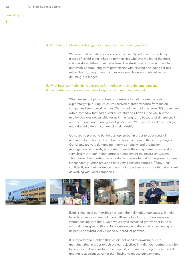#### 4. What was your business strategy for entering the Indian emerging city?

We never had a preference for any particular city in India. It was clearly a case of establishing links and partnerships wherever we found the most suitable state-of-the-art infrastructure. The strategy was to search, locate and establish firm, long-term partnerships with existing packaging set-ups rather than starting on our own, as we would have encountered many daunting challenges.

## 5. What business model did you leverage for market entry into the emerging city? (Local partnerships, outsourcing, direct exports, local manufacturing, etc.)

When we set out plans to take our business to India, we made a short exploratory trip, during which we received a great response from Indian companies keen to work with us. We rushed into a joint venture (JV) agreement with a company that had a similar structure to Clifton in the UK, but the relationship was not suitable for us in the long term, because of differences in our operational and management procedures. We then revisited our strategy and adopted different commercial relationships.

Outsourcing proved to be the best option but in order to be successful it required a lot of financial and human resource input in the start-up stages. Our clients are very demanding in terms of quality and production management standards, so in order to meet these requirements we worked very closely with our Indian partners to implement the necessary systems. This allowed both parties the opportunity to operate and manage our business independently, which proved to be a very successful formula. Today, I can confidently say that working with our Indian partners is as smooth and efficient as working with local companies.



Establishing local partnerships has been the hallmark of our success in India. India has been instrumental in our UK and global growth. Ever since we started dealing with India, we have enjoyed sustained growth year in, year out. India has given Clifton a formidable edge in the world of packaging and helped us to substantially expand our product portfolio.

It is important to mention that we did not need to downsize our UK manufacturing in order to achieve our objectives in India. Our partnership with India in fact allowed us to further expand our manufacturing base in the UK and make us stronger, rather than having to reduce our workforce.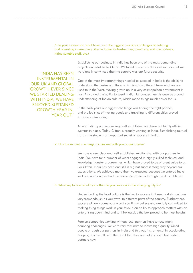## 6. In your experience, what have been the biggest practical challenges of entering and operating in emerging cities in India? (Infrastructure, identifying suitable partners, hiring suitable staff, etc.)

Establishing our business in India has been one of the most demanding projects undertaken by Clifton. We faced numerous obstacles in India but we were totally convinced that the country was our future security.

'INDIA HAS BEEN INSTRUMENTAL IN OUR UK AND GLOBAL GROWTH. EVER SINCE WE STARTED DEALING WITH INDIA, WE HAVE ENJOYED SUSTAINED GROWTH YEAR IN, YEAR OUT'

One of the most important things needed to succeed in India is the ability to understand the business culture, which is vastly different from what we are used to in the West. Having grown up in a very cosmopolitan environment in East Africa and the ability to speak Indian languages fluently gave us a good understanding of Indian culture, which made things much easier for us.

In the early years our biggest challenge was finding the right partner, and the logistics of moving goods and travelling to different cities proved extremely demanding.

All our Indian partners are very well established and have put highly efficient systems in place. Today, Clifton is proudly working in India. Establishing mutual trust is the single most important secret of success in India.

#### 7. Has the market in emerging cities met with your expectations?

We have a very clear and well established relationship with our partners in India. We have for a number of years engaged in highly skilled technical and knowledge transfer programmes, which have proved to be of great value to us. For Clifton, India has been and still is a great success story, way beyond our expectations. We achieved more than we expected because we entered India well prepared and we had the resilience to see us through the difficult times.

#### 8. What key factors would you attribute your success in the emerging city to?

Understanding the local culture is the key to success in these markets; cultures vary tremendously as you travel to different parts of the country. Furthermore, success will only come your way if you firmly believe and are fully committed to making thing things work in your favour. An ability to approach matters with an enterprising open mind and to think outside the box proved to be most helpful.

Foreign companies working without local partners have to face many daunting challenges. We were very fortunate to locate high-quality skilled people through our partners in India and this was instrumental in accelerating our progress overall, with the result that they are not just ideal but perfect partners now.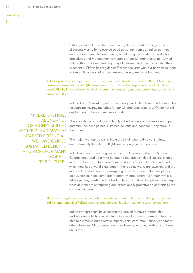Clifton personnel travel to India on a regular basis but our biggest secret of success was to bring over selected personnel from our Indian partners and provide them intensive training on all the quality systems, production procedures and management structures of our UK manufacturing. Armed with all this disciplined training, they all returned to India and applied their experience. Clifton has regular staff exchange visits with our partners in India to keep fully abreast of procedures and developments at both ends.

9. Does your business operate in metro cities in India? In what ways is it different from doing business in emerging cities? (Better/poorer infrastructure, better/poorer skills availability, ease/dificulty in local travel, low/high operational cost, untapped opportunities, easy/dificult business culture)

> India is Clifton's most important secondary production base and the main hub for sourcing key raw materials for our UK manufacturing site. We do not sell anything on to the local markets in India.

'THERE IS A HUGE ABUNDANCE OF HIGHLY SKILLED WORKERS AND MASSIVE UNTAPPED POTENTIAL. WE HAVE GAINED SUSTAINED BENEFITS AND HOPE FOR MANY MORE IN THE FUTURE.'

There is a huge abundance of highly skilled workers and massive untapped potential. We have gained sustained benefits and hope for many more in the future.

The majority of our travels in India are by air, due to time constraints, and fortunately the internal flights are very regular and on time.

India has come a very long way in the last 15 years. Today, the State of Gujarat can proudly claim to be among the greatest global success stories in terms of infrastructure development. A classic example is Ahmadabad, which now has a world-class airport, the road networks are excellent and the industrial development is awe-inspiring. The city is one of the best places to do business in India, compared to many metros, where rush-hour traffic is 24 hrs per day, wasting a lot of valuable working time. People in the emerging cities of India are enterprising and exceptionally proactive on all fronts in the commercial arena.

10. From a regulatory perspective, what have been the main barriers to doing business in India's emerging cities? (Bureaucratic impediments, legal or taxation issues, corruption)

> Indian entrepreneurs have consistently proved to have a remarkable resilience and ability to navigate India's regulatory environment. They are able to overcome bureaucratic impediments, corruption, bribery and many other obstacles. Clifton would not have been able to deal with any of these on its own.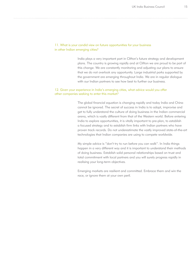## 11. What is your candid view on future opportunities for your business in other Indian emerging cities?

India plays a very important part in Clifton's future strategy and development plans. The country is growing rapidly and at Clifton we are proud to be part of this change. We are constantly monitoring and adjusting our plans to ensure that we do not overlook any opportunity. Large industrial parks supported by the government are emerging throughout India. We are in regular dialogue with our Indian partners to see how best to further our business.

#### 12. Given your experience in India's emerging cities, what advice would you offer other companies seeking to enter this market?

The global financial equation is changing rapidly and today India and China cannot be ignored. The secret of success in India is to adapt, improvise and get to fully understand the culture of doing business in the Indian commercial arena, which is vastly different from that of the Western world. Before entering India to explore opportunities, it is vitally important to pre-plan, to establish a focused strategy and to establish firm links with Indian partners who have proven track records. Do not underestimate the vastly improved state-of-the-art technologies that Indian companies are using to compete worldwide.

My simple advice is "don't try to run before you can walk". In India things happen in a very different way and it is important to understand their methods of doing business. Establish solid personal relationships based on trust and total commitment with local partners and you will surely progress rapidly in realising your long-term objectives.

Emerging markets are resilient and committed. Embrace them and win the race, or ignore them at your own peril.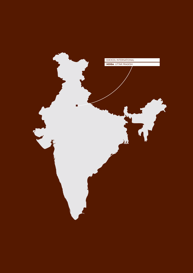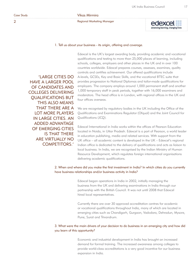2

### Vikas Mirmira

Regional Marketing Manager





#### 1. Tell us about your business - its origin, offering and coverage.

'LARGE CITIES DO HAVE A LARGER POOL OF CANDIDATES AND COLLEGES DELIVERING QUALIFICATIONS BUT THIS ALSO MEANS THAT THERE ARE A LOT MORE PLAYERS IN LARGE CITIES. AN ADDED ADVANTAGE OF EMERGING CITIES IS THAT THERE ARE VIRTUALLY NO COMPETITORS.'

Edexcel is the UK's largest awarding body, providing academic and vocational qualifications and testing to more than 25,000 places of learning, including schools, colleges, employers and other places in the UK and in over 100 countries worldwide. Edexcel prepares courses, assesses, examines, quality controls and certifies achievement. Our offered qualifications include A-levels, GCSEs, Key and Basic Skills, and the vocational BTEC suite that provides progression to National Diplomas and tailor-made qualifications for employers. The company employs around 1,000 permanent staff and another 1,000 temporary staff in peak periods, together with 16,000 examiners and moderators. The head office is in London, with regional offices in the UK and four offices overseas.

We are recognised by regulatory bodies in the UK including the Office of the Qualifications and Examinations Regulator (Ofqual) and the Joint Council for Qualifications (JCQ).

Edexcel International in India works within the offices of Pearson Education located in Noida, in Uttar Pradesh. Edexcel is a part of Pearson, a world leader in education publishing, media and related services. With support from the UK ofice – all academic content is developed in the UK – Edexcel's regional Indian office is dedicated to the delivery of qualifications and acts as liaison to local business. In India, we are recognised by the Indian Ministry of Human Resource Development, which regulates foreign international organisations delivering academic qualifications.

## 2. When and where did you make the first investment in India? In which cities do you currently have business relationships and/or business activity in India?

Edexcel began operations in India in 2002, initially managing the business from the UK and delivering examinations in India through our partnership with the British Council. It was not until 2008 that Edexcel hired local representatives.

Currently there are over 30 approved accreditation centres for academic or vocational qualifications throughout India, many of which are located in emerging cities such as Chandigarh, Gurgaon, Vadodara, Dehradun, Mysore, Pune, Surat and Trivandrum.

# 3. What were the main drivers of your decision to do business in an emerging city and how did you learn of this opportunity?

Economic and industrial development in India has brought an increased demand for formal training. The increased awareness among colleges to provide world-class accreditations is a very good incentive for our business expansion in India.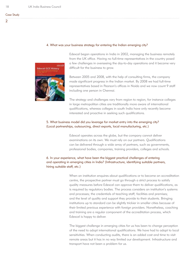#### 4. What was your business strategy for entering the Indian emerging city?



Edexcel began operations in India in 2002, managing the business remotely from the UK office. Having no full-time representatives in the country posed a few challenges in overseeing the day-to-day operations and it became very difficult for the business to grow.

Between 2005 and 2008, with the help of consulting firms, the company made significant progress in the Indian market. By 2008 we had full-time representatives based in Pearson's offices in Noida and we now count 9 staff including one person in Chennai.

The strategy and challenges vary from region to region, for instance colleges in large metropolitan cities are traditionally more aware of international qualifications, whereas colleges in south India have only recently become interested and proactive in seeking such qualifications.

# 5. What business model did you leverage for market entry into the emerging city? (Local partnerships, outsourcing, direct exports, local manufacturing, etc.)

Edexcel operates across the globe, but the company cannot deliver examinations on its own. We must rely on our partners. Qualifications can be delivered through a wide array of partners, such as governments, professional bodies, companies, training providers, colleges and schools.

# 6. In your experience, what have been the biggest practical challenges of entering and operating in emerging cities in India? (Infrastructure, identifying suitable partners, hiring suitable staff, etc.)

When an institution enquires about qualifications or to become an accreditation centre, the prospective partner must go through a strict process to satisfy quality measures before Edexcel can approve them to deliver qualifications, as is required by regulatory bodies. The process considers an institution's systems and processes; the credentials of teaching staff; facilities and premises; and the level of quality and support they provide to their students. Bringing institutions up to standard can be slightly trickier in smaller cities because of their limited previous experience with foreign providers. Nonetheless, coaching and training are a regular component of the accreditation process, which Edexcel is happy to deliver.

The biggest challenge in emerging cities for us has been to change perception of the need to adopt international qualifications. We have had to adapt to local sensitivities. When conducting audits, there is an added cost and time to visit remote areas but it has in no way limited our development. Infrastructure and transport have not been a problem for us.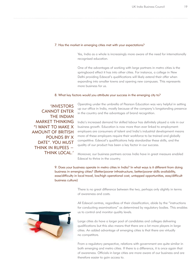#### 7. Has the market in emerging cities met with your expectations?

Yes, India as a whole is increasingly more aware of the need for internationally recognised education.

One of the advantages of working with large partners in metro cities is the springboard effect it has into other cities. For instance, a college in New Delhi providing Edexcel's qualifications will likely extend their offer when expanding into smaller towns and opening new campuses. This represents more business for us.

#### 8. What key factors would you attribute your success in the emerging city to?

'INVESTORS CANNOT ENTER THE INDIAN MARKET THINKING "I WANT TO MAKE X AMOUNT OF BRITISH POUNDS BY X DATE". YOU MUST THINK IN RUPFFS -THINK LOCAL.'

Operating under the umbrella of Pearson Education was very helpful in setting up our office in India, mostly because of the company's longstanding presence in the country and the advantages of brand recognition.

India's increased demand for skilled labour has definitely played a role in our business growth. Education is now more than ever linked to employment: employers are consumers of talent and India's industrial development means more of these employers require their workforce to be trained and globally competitive. Edexcel's qualifications help standardise these skills, and the quality of our product has been a key factor in our success.

Moreover, our business partners across India have in great measure enabled Edexcel to thrive in the country.

9. Does your business operate in metro cities in India? In what ways is it different from doing business in emerging cities? (Better/poorer infrastructure, better/poorer skills availability, ease/dificulty in local travel, low/high operational cost, untapped opportunities, easy/dificult business culture)

> There is no great difference between the two, perhaps only slightly in terms of awareness and costs.

All Edexcel centres, regardless of their classification, abide by the "instructions for conducting examinations" as determined by regulatory bodies. This enables us to control and monitor quality levels.

Large cities do have a larger pool of candidates and colleges delivering qualifications but this also means that there are a lot more players in large cities. An added advantage of emerging cities is that there are virtually no competitors.

From a regulatory perspective, relations with government are quite similar in both emerging and metro cities. If there is a difference, it is once again that of awareness. Officials in large cities are more aware of our business and are therefore easier to gain access to.

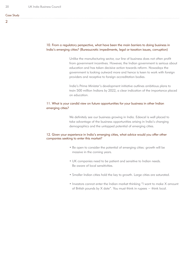### 10. From a regulatory perspective, what have been the main barriers to doing business in India's emerging cities? (Bureaucratic impediments, legal or taxation issues, corruption)

Unlike the manufacturing sector, our line of business does not often profit from government incentives. However, the Indian government is serious about education and has taken decisive action towards reform. Nowadays the government is looking outward more and hence is keen to work with foreign providers and receptive to foreign accreditation bodies.

India's Prime Minister's development initiative outlines ambitious plans to train 500 million Indians by 2022, a clear indication of the importance placed on education.

## 11. What is your candid view on future opportunities for your business in other Indian emerging cities?

We definitely see our business growing in India. Edexcel is well placed to take advantage of the business opportunities arising in India's changing demographics and the untapped potential of emerging cities.

## 12. Given your experience in India's emerging cities, what advice would you offer other companies seeking to enter this market?

- Be open to consider the potential of emerging cities: growth will be massive in the coming years.
- UK companies need to be patient and sensitive to Indian needs. Be aware of local sensitivities.
- Smaller Indian cities hold the key to growth. Large cities are saturated.
- Investors cannot enter the Indian market thinking "I want to make X amount of British pounds by X date". You must think in rupees − think local.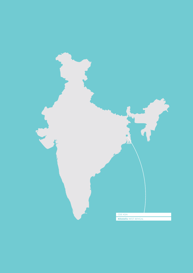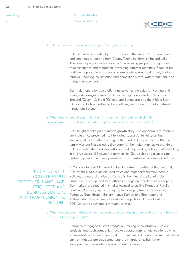| <b>Case Study</b> | Manish Bhartia           |  |
|-------------------|--------------------------|--|
|                   | <b>Managing Director</b> |  |

#### 1. Tell us about your business - its origin, offering and coverage.

CDE Global was founded by Tony Convery in the early 1990s. It originated and continues to operate from County Tyrone in Northern Ireland, UK. The company is popularly known as "the washing people", owing to our wide experience and reputation in washing different materials. Some of the traditional applications that we offer are washing sand and gravel, lignite removal, recycling construction and demolition waste, water treatment, and sludge management.

Our Indian operations also offer innovative technologies for washing and to upgrade low-grade Iron ore. Our coverage is worldwide with offices in England (Coventry), India (Kolkata and Bangalore) and the Middle East (Dubai and Doha). Further to these offices, we have a distributor network throughout Europe.

## 2. When and where did you make the first investment in India? In which cities do you currently have business relationships and/or business activity in India?

CDE sought to take part in India's growth story. The opportunity to establish our India office presented itself following successful initial sales that encouraged us to further investigate the market. Our partner, the Bhartia family, was our first exclusive distributor for the Indian market. At that time CDE supported the marketing efforts in India by sending sales experts, resulting in a very successful first year of partnership. Good sales and a successful partnership were the primary reasons for us to establish a company in India.

'INDIA IS LIKE 10 COUNTRIES PUT TOGETHER. LANGUAGE, ETIQUETTE AND BUSINESS CULTURE VARY FROM REGION TO REGION.'

In 2007 we formed CDE Asia Limited in partnership with the Bhartia family. CDE established the Indian head office and regional fabrication base in Kolkata, the natural choice as Kolkata is the mineral capital of India. Subsequently we opened sales offices in Bangalore and Hospet (Hosapete). Our markets are situated in smaller towns/districts like Durgapur, Purulia, Bankura, Rourkela, Jajpur, Keonjhar, Jamshedpur, Raipur, Hyderabad, Rudrapur, Goa, Hospet, Bellary, Kanya Kumari and Biratnagar and Kathmandu in Nepal. We have installed projects in all these locations. CDE Asia serves customers throughout Asia.

3. What were the main drivers of your decision to do business in an emerging city and how did you learn of this opportunity?

> Companies engaged in steel production, mining or construction use our products, and such companies have to operate from remote locations owing to availability of resources like land, raw material and manpower. We understood early on that our projects cannot operate in large cities but rather in less-developed areas where resources are available.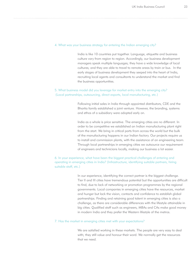#### 4. What was your business strategy for entering the Indian emerging city?

India is like 10 countries put together. Language, etiquette and business culture vary from region to region. Accordingly, our business development managers speak multiple languages; they have a wide knowledge of local cultures; and they are able to travel to remote areas by train or bus. In the early stages of business development they seeped into the heart of India, recruiting local agents and consultants to understand the market and find the business opportunities.

# 5. What business model did you leverage for market entry into the emerging city? (Local partnerships, outsourcing, direct exports, local manufacturing, etc.)

Following initial sales in India through appointed distributors, CDE and the Bhartia family established a joint venture. However, the branding, systems and ethos of a subsidiary were adopted early on.

India as a whole is price sensitive. The emerging cities are no different. In order to be competitive we established an Indian manufacturing plant right from the start. We bring in critical parts from across the world but the bulk of the manufacturing happens in our Indian factory. Our projects require us to install and commission plants, with the assistance of an engineering team. Through local partnerships in emerging cities we outsource our requirement of engineers and technicians locally, making our business a lot easier.

6. In your experience, what have been the biggest practical challenges of entering and operating in emerging cities in India? (Infrastructure, identifying suitable partners, hiring suitable staff, etc.)

> In our experience, identifying the correct partner is the biggest challenge. Tier II and III cities have tremendous potential but the opportunities are difficult to find, due to lack of networking or promotion programmes by the regional governments. Local companies in emerging cities have the resources, market and hunger but lack the vision, contacts and confidence to establish global partnerships. Finding and retaining good talent in emerging cities is also a challenge, as there are considerable differences with the lifestyle attainable in big cities. Qualified staff such as engineers, MBAs and CAs make good money in modern India and they prefer the Western lifestyle of the metros.

#### 7. Has the market in emerging cities met with your expectations?

We are satisfied working in these markets. The people are very easy to deal with; they still value and honour their word. We normally get the resources that we need.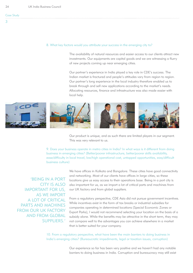#### 8. What key factors would you attribute your success in the emerging city to?

The availability of natural resources and easier access to our clients attract new investments. Our equipments are capital goods and we are witnessing a flurry of new projects coming up near emerging cities.

Our partner's experience in India played a key role in CDE's success. The Indian market is fractured and people's attitudes vary from region to region. Our partner's long experience in the local industry therefore enabled us to break through and sell new applications according to the market's needs. Allocating resources, finance and infrastructure was also made easier with local help.



Our product is unique, and as such there are limited players in our segment. This was very relevant to us.

9. Does your business operate in metro cities in India? In what ways is it different from doing business in emerging cities? (Better/poorer infrastructure, better/poorer skills availability, ease/dificulty in local travel, low/high operational cost, untapped opportunities, easy/dificult business culture)

'BEING IN A PORT CITY IS ALSO IMPORTANT FOR US, AS WE IMPORT A LOT OF CRITICAL PARTS AND MACHINES FROM OUR UK FACTORY AND FROM GLOBAL SUPPLIERS.'

We have offices in Kolkata and Bangalore. These cities have good connectivity and networking. Most of our clients have offices in large cities, so these locations give us easy access to their operations base. Being in a port city is also important for us, as we import a lot of critical parts and machines from our UK factory and from global suppliers.

From a regulatory perspective, CDE Asia did not pursue government incentives. While incentives exist in the form of tax breaks or industrial subsidies for companies operating in determined locations (Special Economic Zones or Export Parks), I would not recommend selecting your location on the basis of a subsidy alone. While the benefits may be attractive in the short term, they may not compare well to the advantages you can achieve elsewhere in a market that is better suited for your company.

10. From a regulatory perspective, what have been the main barriers to doing business in India's emerging cities? (Bureaucratic impediments, legal or taxation issues, corruption)

> Our experience so far has been very positive and we haven't had any notable barriers to doing business in India. Corruption and bureaucracy may still exist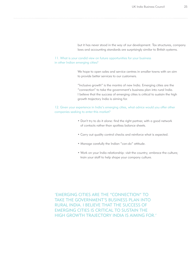but it has never stood in the way of our development. Tax structures, company laws and accounting standards are surprisingly similar to British systems.

11. What is your candid view on future opportunities for your business in other Indian emerging cities?

> We hope to open sales and service centres in smaller towns with an aim to provide better services to our customers.

> "Inclusive growth" is the mantra of new India. Emerging cities are the "connection" to take the government's business plan into rural India. I believe that the success of emerging cities is critical to sustain the high growth trajectory India is aiming for.

12. Given your experience in India's emerging cities, what advice would you offer other companies seeking to enter this market?

- Don't try to do it alone: find the right partner, with a good network of contacts rather than spotless balance sheets.
- Carry out quality control checks and reinforce what is expected.
- Manage carefully the Indian "can-do" attitude.
- Work on your India relationship: visit the country; embrace the culture; train your staff to help shape your company culture.

'EMERGING CITIES ARE THE "CONNECTION" TO TAKE THE GOVERNMENT'S BUSINESS PLAN INTO RURAL INDIA. I BELIEVE THAT THE SUCCESS OF EMERGING CITIES IS CRITICAL TO SUSTAIN THE HIGH GROWTH TRAJECTORY INDIA IS AIMING FOR.'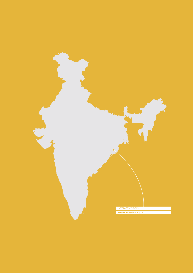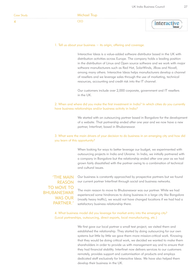

#### 1. Tell us about your business − its origin, offering and coverage.

Interactive Ideas is a value-added software distributor based in the UK with distribution activities across Europe. The company holds a leading position in the distribution of Linux and Open source software and we work with major software manufacturers such as Red Hat, SolarWinds, JBoss and Novell, among many others. Interactive Ideas helps manufacturers develop a channel of resellers and we leverage sales through the use of marketing, technical resources, accounting and credit risk into the IT channel.

Our customers include over 2,000 corporate, government and IT resellers in the UK.

## 2. When and where did you make the first investment in India? In which cities do you currently have business relationships and/or business activity in India?

We started with an outsourcing partner based in Bangalore for the development of a website. That partnership ended after one year and we now have a new partner, Interfinet, based in Bhubaneswar.

# 3. What were the main drivers of your decision to do business in an emerging city and how did you learn of this opportunity?

When looking for ways to better leverage our budget, we experimented with outsourcing projects in India and Ukraine. In India, we initially partnered with a company in Bangalore but the relationship ended after one year as we had grown fairly dissatisfied with the partner owing to a combination of technical and cultural issues.

'THE MAIN REASON TO MOVE TO BHUBANESWAR WAS OUR PARTNFR<sup>'</sup>

Our business is constantly approached by prospective partners but we found our current partner Interfinet through social and business networks.

The main reason to move to Bhubaneswar was our partner. While we had experienced some hindrances to doing business in a large city like Bangalore (mostly heavy traffic), we would not have changed locations if we had had a satisfactory business relationship there.

4. What business model did you leverage for market entry into the emerging city? (Local partnerships, outsourcing, direct exports, local manufacturing, etc.)

> We first gave our local partner a small test project; we visited them and established the relationship. They started by doing outsourcing for our own systems but little by little we gave them more mission-critical work. Knowing that they would be doing critical work, we decided we wanted to make them shareholders in order to provide us with management say and to ensure that they had financial stability. Interfinet now delivers services to our customers remotely, provides support and customisation of products and employs dedicated staff exclusively for Interactive Ideas. We have also helped them develop their business in the UK.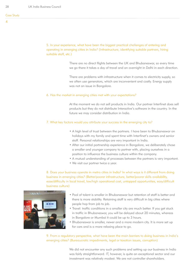Case Study

5. In your experience, what have been the biggest practical challenges of entering and operating in emerging cities in India? (Infrastructure, identifying suitable partners, hiring suitable staff, etc.)

> There are no direct flights between the UK and Bhubaneswar, so every time we go there it takes a day of travel and an overnight in Delhi in each direction.

There are problems with infrastructure when it comes to electricity supply, so we often use generators, which are inconvenient and costly. Energy supply was not an issue in Bangalore.

#### 6. Has the market in emerging cities met with your expectations?

At the moment we do not sell products in India. Our partner Interfinet does sell products but they do not distribute Interactive's software in the country. In the future we may consider distribution in India.

### 7. What key factors would you attribute your success in the emerging city to?

- A high level of trust between the partners. I have been to Bhubaneswar on holidays with my family and spent time with Interfinet's owners and senior staff. Personal relationships are very important in India.
- After our initial partnership experience in Bangalore, we deliberately chose a smaller and younger company to partner with, placing ourselves in a position to influence the business culture within the company.
- A mutual understanding of processes between the partners is very important.
- We visit our partner twice a year.

8. Does your business operate in metro cities in India? In what ways is it different from doing business in emerging cities? (Better/poorer infrastructure, better/poorer skills availability, ease/dificulty in local travel, low/high operational cost, untapped opportunities, easy/dificult business culture)



- Pool of talent is smaller in Bhubaneswar but retention of staff is better and there is more stability. Retaining staff is very difficult in big cities where people hop from job to job.
- Travel: trafic conditions in a smaller city are much better. If you get stuck in traffic in Bhubaneswar, you will be delayed about 20 minutes, whereas in Bangalore or Mumbai it could be up to 3 hours.
- Bhubaneswar is smaller, newer and a more modern city. It is more set up for cars and is a more relaxing place to go.

9. From a regulatory perspective, what have been the main barriers to doing business in India's emerging cities? (Bureaucratic impediments, legal or taxation issues, corruption)

> We did not encounter any such problems and setting up our business in India was fairly straightforward. IT, however, is quite an exceptional sector and our investment was relatively modest. We are not controller shareholders.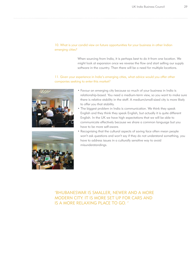## 10. What is your candid view on future opportunities for your business in other Indian emerging cities?

When sourcing from India, it is perhaps best to do it from one location. We might look at expansion once we reverse the flow and start selling our supply software in the country. Then there will be a need for multiple locations.

## 11. Given your experience in India's emerging cities, what advice would you offer other companies seeking to enter this market?





- Favour an emerging city because so much of your business in India is relationship-based. You need a medium-term view, so you want to make sure there is relative stability in the staff. A medium/small-sized city is more likely to offer you that stability.
- The biggest problem in India is communication. We think they speak English and they think they speak English, but actually it is quite different English. In the UK we have high expectations that we will be able to communicate effectively because we share a common language but you have to be more self-aware.
- Recognising that the cultural aspects of saving face often mean people won't ask questions and won't say if they do not understand something, you have to address issues in a culturally sensitive way to avoid misunderstandings.

# 'BHUBANESWAR IS SMALLER, NEWER AND A MORE MODERN CITY. IT IS MORE SET UP FOR CARS AND IS A MORE RELAXING PLACE TO GO. '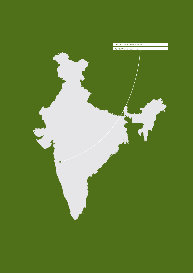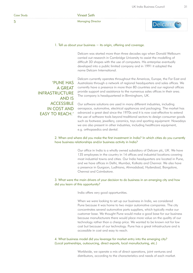5

#### Vineet Seth

Managing Director



#### 1. Tell us about your business − its origin, offering and coverage.

Delcam was started more than three decades ago when Donald Welbourn carried out research in Cambridge University to assist the modelling of difficult 3D shapes with the use of computers. His enterprise eventually developed into a public limited company and in 1991 it adopted the name Delcam International.

'PUNE HAS A GREAT INFRASTRUCTURE AND IS **ACCESSIBLE** IN COST AND

EASY TO REACH.'

Delcam currently operates throughout the Americas, Europe, the Far East and Australasia through a network of regional headquarters and sales offices. We currently have a presence in more than 80 countries and our regional offices provide support and assistance to the numerous sales offices in their area. The company is headquartered in Birmingham, UK.

Our software solutions are used in many different industries, including aerospace, automotive, electrical appliances and packaging. The market has advanced a great deal since the 1970s and it is now cost-effective to extend the use of software tools beyond traditional sectors to design consumer goods such as footwear, jewellery, ceramics, toys and sporting equipment. Nowadays we are also present in other industries, including healthcare equipment, e.g. orthopaedics and dental.

# 2. When and where did you make the first investment in India? In which cities do you currently have business relationships and/or business activity in India?

Our office in India is a wholly owned subsidiary of Delcam plc, UK. We have 135 employees in the country in 14 offices and industrial locations covering most industrial towns and cities. Our India headquarters are located in Pune, and we have offices in Delhi, Mumbai, Kolkata and Chennai. We also have a presence in Gurgaon, Ludhiana, Ahmadabad, Hyderabad, Bangalore, Chennai and Coimbatore.

## 3. What were the main drivers of your decision to do business in an emerging city and how did you learn of this opportunity?

India offers very good opportunities.

When we were looking to set up our business in India, we considered Pune because it was home to two major automotive companies. The city concentrates several automotive parts suppliers, which typically make our customer base. We thought Pune would make a good base for our business because manufacturers there would place more value on the quality of our technology rather than a cheap price. We wanted to be known not for low cost but because of our technology. Pune has a great infrastructure and is accessible in cost and easy to reach.

## 4. What business model did you leverage for market entry into the emerging city? (Local partnerships, outsourcing, direct exports, local manufacturing, etc.)

Worldwide, we operate a mix of direct operations, joint ventures and distributors, according to the characteristics and needs of each market.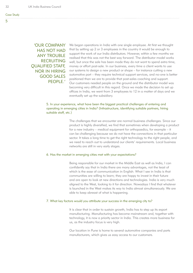# 'OUR COMPANY HAS NOT HAD **ANY TROUBLE** RECRUITING QUALIFIED STAFF, NOR IN HIRING GOOD SALES PEOPLE.'

We began operations in India with one single employee. At first we thought that by setting up 2 or 3 employees in the country it would be enough to support the work of our India distributors. However, within a few months we realised that this was not the best way forward. The distributor model works well, but once the sale has been made they do not want to spend extra time, money or effort post-sale. In our business, every time a client wants to use our systems to design a new product or shape – for instance cutting a new automotive part – they require technical support services, and no-one is better positioned than we are to provide that post-sales coaching and support. Our customers needed people on the ground and the distributor model was becoming very difficult in this regard. Once we made the decision to set up offices in India, we went from 3 employees to 12 in a matter of days and we eventually set up the subsidiary.

## 5. In your experience, what have been the biggest practical challenges of entering and operating in emerging cities in India? (Infrastructure, identifying suitable partners, hiring suitable staff, etc.)

The challenges that we encounter are normal business challenges. Since our product is highly diversified, we find that sometimes when developing a product for a new industry – medical equipment for orthopaedics, for example – it can be challenging because we do not have the connections in that particular sector. It takes a long time to get the right technology to the right people, and we need to reach out to understand our clients' requirements. Local business networks are still in very early stages.

# 6. Has the market in emerging cities met with your expectations?

Being responsible for our market in the Middle East as well as India, I can confidently say that in India there are many advantages, not the least of which is the ease of communication in English. What I see in India is that communities are willing to learn; they are happy to invest in their future and are open to look at new directions and technologies. India is very much aligned to the West, looking to it for direction. Nowadays I find that whatever is launched in the West makes its way to India almost simultaneously. We are able to keep abreast of what is happening.

# 7. What key factors would you attribute your success in the emerging city to?

It is clear that in order to sustain growth, India has to step up its export manufacturing. Manufacturing has become mainstream and, together with technology, it is now a priority sector in India. This creates more business for us, as the industry focus is very high.

Our location in Pune is home to several automotive companies and parts manufacturers, which gives us easy access to our customers.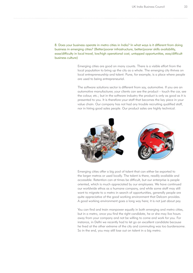8. Does your business operate in metro cities in India? In what ways is it different from doing business in emerging cities? (Better/poorer infrastructure, better/poorer skills availability, ease/dificulty in local travel, low/high operational cost, untapped opportunities, easy/dificult business culture)

> Emerging cities are good on many counts. There is a visible effort from the local population to bring up the city as a whole. The emerging city thrives on local entrepreneurship and talent. Pune, for example, is a place where people are used to being entrepreneurial.

The software solutions sector is different from say, automotive. If you are an automotive manufacturer, your clients can see the product – touch the car, see the colour, etc.; but in the software industry the product is only as good as it is presented to you. It is therefore your staff that becomes the key piece in your value chain. Our company has not had any trouble recruiting qualified staff, nor in hiring good sales people. Our product sales are highly technical.



Emerging cities offer a big pool of talent that can either be exported to the larger metros or used locally. The talent is there, readily available and accessible. Retention can at times be difficult, but our enterprise is people oriented, which is much appreciated by our employees. We have continued our worldwide ethos as a humane company, and while some staff may still want to migrate to a metro in search of opportunities, generally people are quite appreciative of the good working environment that Delcam provides. A good working environment goes a long way here; it is not just about pay.

You can find and train manpower equally in both emerging and metro cities, but in a metro, once you find the right candidate, he or she may live hours away from your company and not be willing to come and work for you. For instance, in Delhi we recently had to let go an excellent candidate because he lived at the other extreme of the city and commuting was too burdensome. So in the end, you may still lose out on talent in a big metro.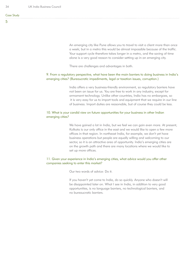An emerging city like Pune allows you to travel to visit a client more than once a week; but in a metro this would be almost impossible because of the traffic. Your support cycle therefore takes longer in a metro, and the saving of time alone is a very good reason to consider setting up in an emerging city.

There are challenges and advantages in both.

## 9. From a regulatory perspective, what have been the main barriers to doing business in India's emerging cities? (Bureaucratic impediments, legal or taxation issues, corruption.)

India offers a very business-friendly environment, so regulatory barriers have not been an issue for us. You are free to work in any industry, except for armament technology. Unlike other countries, India has no embargoes, so it is very easy for us to import tools and equipment that we require in our line of business. Import duties are reasonable, but of course they could be less.

## 10. What is your candid view on future opportunities for your business in other Indian emerging cities?

We have gained a lot in India, but we feel we can gain even more. At present, Kolkata is our only office in the east and we would like to open a few more offices in that region. In northeast India, for example, we don't yet have business operations but people are equally willing and welcoming to our sector, so it is an attractive area of opportunity. India's emerging cities are on the growth path and there are many locations where we would like to set up more offices.

## 11. Given your experience in India's emerging cities, what advice would you offer other companies seeking to enter this market?

Our two words of advice: Do it.

If you haven't yet come to India, do so quickly. Anyone who doesn't will be disappointed later on. What I see in India, in addition to very good opportunities, is no language barriers, no technological barriers, and no bureaucratic barriers.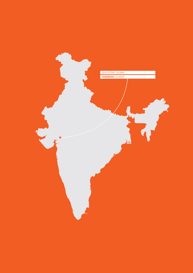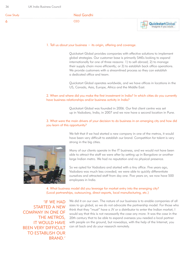| <b>Case Study</b> | Neal Gandhi |  |
|-------------------|-------------|--|
|                   |             |  |

#### 1. Tell us about your business − its origin, offering and coverage.

Quickstart Global provides companies with effective solutions to implement global strategies. Our customer base is primarily SMEs looking to expand internationally for one of three reasons: 1) to sell abroad; 2) to manage their supply chain more efficiently; or 3) to establish back office operations. We provide customers with a streamlined process so they can establish a dedicated office and team.

Quickstart Global operates worldwide, and we have offices in locations in the US, Canada, Asia, Europe, Africa and the Middle East.

## 2. When and where did you make the first investment in India? In which cities do you currently have business relationships and/or business activity in India?

Quickstart Global was founded in 2006. Our first client centre was set up in Vadodara, India, in 2007 and we now have a second location in Pune.

We felt that if we had started a new company in one of the metros, it would have been very difficult to establish our brand. Competition for talent is very

#### 3. What were the main drivers of your decision to do business in an emerging city and how did you learn of this opportunity?

strong in the big cities. Many of our clients operate in the IT business, and we would not have been able to attract the staff we were after by setting up in Bangalore or another

large Indian metro. We had no reputation and no physical presence. So we opted for Vadodara and started with a tiny office. Five years ago,

Vadodara was much less crowded; we were able to quickly differentiate ourselves and attracted staff from day one. Five years on, we now have 500 employees in India.

#### 4. What business model did you leverage for market entry into the emerging city? (Local partnerships, outsourcing, direct exports, local manufacturing, etc.)

'IF WE HAD STARTED A NEW COMPANY IN ONE OF THE METROS, **IT WOULD HAVE** BEEN VERY DIFFICULT TO ESTABLISH OUR BRAND.'

We did it on our own. The nature of our business is to enable companies of all sizes to go global, so we do not advocate the partnership model. For those who think that they "must" have a JV or a distributor to enter the Indian market, I would say that this is not necessarily the case any more. It was the case in the 20th century that to be able to expand overseas you needed a local partner with people on the ground, but nowadays, with the help of the Internet, you can sit back and do your research remotely.

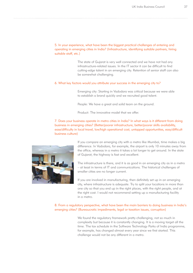## 5. In your experience, what have been the biggest practical challenges of entering and operating in emerging cities in India? (Infrastructure, identifying suitable partners, hiring suitable staff, etc.)

The state of Gujarat is very well connected and we have not had any infrastructure-related issues. In the IT sector it can be difficult to find cutting-edge talent in an emerging city. Retention of senior staff can also be somewhat challenging.

#### 6. What key factors would you attribute your success in the emerging city to?

Emerging city: Starting in Vadodara was critical because we were able to establish a brand quickly and we recruited good talent.

People: We have a great and solid team on the ground.

Product: The innovative model that we offer.

7. Does your business operate in metro cities in India? In what ways is it different from doing business in emerging cities? (Better/poorer infrastructure, better/poorer skills availability, ease/dificulty in local travel, low/high operational cost, untapped opportunities, easy/dificult business culture)



If you compare an emerging city with a metro like Mumbai, time makes a big difference. In Vadodara, for example, the airport is only 10 minutes away from the office, whereas in a metro it takes a lot longer to get around. In the state of Gujarat, the highway is fast and excellent.

The infrastructure is there, and it is as good in an emerging city as in a metro – at least in terms of IT and communications. The historical challenges of smaller cities are no longer current.

If you are involved in manufacturing, then definitely set up in an emerging city, where infrastructure is adequate. Try to split your locations in more than one city so that you end up in the right places, with the right people, and at the right cost. I would not recommend setting up a manufacturing facility in a metro.

8. From a regulatory perspective, what have been the main barriers to doing business in India's emerging cities? (Bureaucratic impediments, legal or taxation issues, corruption)

> We found the regulatory framework pretty challenging, not so much in complexity but because it is constantly changing. It is a moving target all the time. The tax schedule in the Software Technology Parks of India programme, for example, has changed almost every year since we first started. This challenge would not be any different in a metro.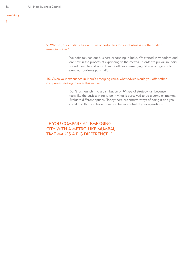9. What is your candid view on future opportunities for your business in other Indian emerging cities?

> We definitely see our business expanding in India. We started in Vadodara and are now in the process of expanding to the metros. In order to prevail in India we will need to end up with more ofices in emerging cities – our goal is to grow our business pan-India.

10. Given your experience in India's emerging cities, what advice would you offer other companies seeking to enter this market?

> Don't just launch into a distribution or JV-type of strategy just because it feels like the easiest thing to do in what is perceived to be a complex market. Evaluate different options. Today there are smarter ways of doing it and you could find that you have more and better control of your operations.

'IF YOU COMPARE AN EMERGING CITY WITH A METRO LIKE MUMBAI, TIME MAKES A BIG DIFFERENCE. '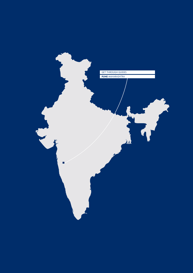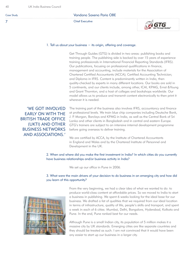# Vandana Saxena Paria OBE

Chief Executive



#### 1. Tell us about your business − its origin, offering and coverage.

Get Through Guides (GTG) is divided in two areas: publishing books and training people. The publishing side is backed by over 15 years of experience training professionals in International Financial Reporting Standards (IFRS). Our publications, focusing on professional qualifications in finance, management and accounting, include materials for the Association of Chartered Certified Accountants (ACCA); Certified Accounting Technician; and Diploma in IFRS. Content is predominantly written in India, then quality-checked by experts in many different locations. Our books are sold in 5 continents, and our clients include, among other, ICAI, KPMG, Ernst &Young and Grant Thornton, and a host of colleges and bookshops worldwide. Our model allows us to produce and transmit content electronically to then print it wherever it is needed.

'WE GOT INVOLVED EARLY ON WITH THE BRITISH TRADE OFFICE (UKTI) AND OTHER BUSINESS NETWORKS AND ASSOCIATIONS.'

The training part of the business also involves IFRS, accountancy and finance at professional levels. We train blue chip companies including Deutsche Bank, J. P. Morgan, Barclays and KPMG in India, as well as the Central Bank of Sri Lanka and other clients in Bangladesh and in central and eastern Europe. GTG's trainers are subject to an intensive internal development programme before going overseas to deliver training.

We are certified by ACCA, by the Institute of Chartered Accountants in England and Wales and by the Chartered Institute of Personnel and Development in the UK.

2. When and where did you make the first investment in India? In which cities do you currently have business relationships and/or business activity in India?

We set up our office in Pune in 2006.

## 3. What were the main drivers of your decision to do business in an emerging city and how did you learn of this opportunity?



From the very beginning, we had a clear idea of what we wanted to do: to produce world-class content at affordable prices. So we moved to India to start a business in publishing. We spent 6 weeks looking for the ideal base for our business. We drafted a list of qualities that we required from our ideal location in terms of infrastructure, quality of life, people's skills and transport, and spent a week in each of 6 cities: Mumbai, Delhi, Bangalore, Hyderabad, Kolkata and Pune. In the end, Pune ranked best for our needs.

Although Pune is a small Indian city, its population of 5 million makes it a massive city by UK standards. Emerging cities are like separate countries and they should be treated as such. I am not convinced that it would have been any easier to start up our business in a larger city.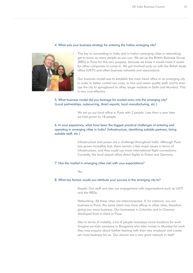#### 4. What was your business strategy for entering the Indian emerging city?



The key to succeeding in India and in India's emerging cities is networking: get to know as many people as you can. We set up the British Business Group (BBG) in Pune for this very purpose, because we knew it would make it easier for other companies to come in. We got involved early on with the British trade office (UKTI) and other business networks and associations.

Our business model was to establish the main head office in an emerging city in order to better control our costs, to hire and retain quality staff, and to then use the city to springboard to other, larger markets in Delhi and Mumbai. This is very cost-effective.

## 5. What business model did you leverage for market entry into the emerging city? (Local partnerships, outsourcing, direct exports, local manufacturing, etc.)

We set up our local office in Pune with 2 people. Less than a year later we had grown to 18 people.

## 6. In your experience, what have been the biggest practical challenges of entering and operating in emerging cities in India? (Infrastructure, identifying suitable partners, hiring suitable staff, etc.)

Infrastructure and power are a challenge throughout India. Although Pune has grown incredibly fast, there remain a few major issues in terms of infrastructure, and they could use more international flight connections. Currently, the local airport offers direct flights to Dubai and Germany.

#### 7. Has the market in emerging cities met with your expectations?

Yes.

#### 8. What key factors would you attribute your success in the emerging city to?

People: Our staff and also our engagement with organisations such as UKTI and the BBGs.

Networking: All these cities are interconnected. If, for instance, you win business in Pune, the same client may have offices in other cities, therefore giving you more business. Our businesses in Colombo and in Chennai developed from a client in Pune.

Also in terms of mobility, a lot of people nowadays move locations for work. Imagine we train someone in Bangalore who later moves to Mumbai for work they may enquire about further training with their new employer and create yet more business for us. Our alumni are a very good network in itself.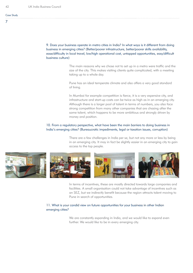#### 7

9. Does your business operate in metro cities in India? In what ways is it different from doing business in emerging cities? (Better/poorer infrastructure, better/poorer skills availability, ease/dificulty in local travel, low/high operational cost, untapped opportunities, easy/dificult business culture)

> The main reasons why we chose not to set up in a metro were traffic and the size of the city. This makes visiting clients quite complicated, with a meeting taking up to a whole day.

Pune has an ideal temperate climate and also offers a very good standard of living.

In Mumbai for example competition is fierce, it is a very expensive city, and infrastructure and start-up costs can be twice as high as in an emerging city. Although there is a larger pool of talent in terms of numbers, you also face strong competition from many other companies that are chasing after the same talent, which happens to be more ambitious and strongly driven by money and position.

## 10. From a regulatory perspective, what have been the main barriers to doing business in India's emerging cities? (Bureaucratic impediments, legal or taxation issues, corruption)

There are a few challenges in India per se, but not any more or less by being in an emerging city. It may in fact be slightly easier in an emerging city to gain access to the top people.



In terms of incentives, these are mostly directed towards large companies and facilities. A small organisation could not take advantage of incentives such as an SEZ, but we indirectly benefit because the region attracts talent moving to Pune in search of opportunities.

#### 11. What is your candid view on future opportunities for your business in other Indian emerging cities?

We are constantly expanding in India, and we would like to expand even further. We would like to be in every emerging city.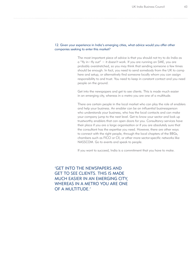#### 12. Given your experience in India's emerging cities, what advice would you offer other companies seeking to enter this market?

The most important piece of advice is that you should not try to do India as a "fly in−fly out" − it doesn't work. If you are running an SME, you are probably overstretched, so you may think that sending someone a few times should be enough. In fact, you need to send somebody from the UK to camp here and setup, or alternatively find someone locally whom you can assign responsibility to and trust. You need to keep in constant contact and you need people on the ground.

Get into the newspapers and get to see clients. This is made much easier in an emerging city, whereas in a metro you are one of a multitude.

There are certain people in the local market who can play the role of enablers and help your business. An enabler can be an influential businessperson who understands your business, who has the local contacts and can make your company jump to the next level. Get to know your sector and look up trustworthy enablers that can open doors for you. Consultancy services have their place if you are a large organisation or if you are absolutely sure that the consultant has the expertise you need. However, there are other ways to connect with the right people, through the local chapters of the BBGs, chambers such as FICCI or CII, or other more sector-specific networks like NASSCOM. Go to events and speak to people.

If you want to succeed, India is a commitment that you have to make.

'GET INTO THE NEWSPAPERS AND GET TO SEE CLIENTS. THIS IS MADE MUCH EASIER IN AN EMERGING CITY, WHEREAS IN A METRO YOU ARE ONE OF A MULTITUDE.'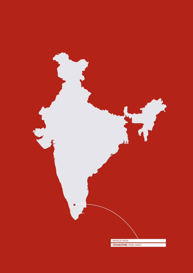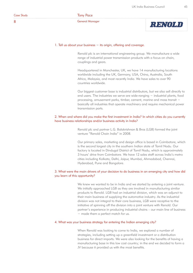8

# Tony Pace

General Manager



#### 1. Tell us about your business − its origin, offering and coverage.

Renold plc is an international engineering group. We manufacture a wide range of industrial power transmission products with a focus on chain, couplings and gears.

Headquartered in Manchester, UK, we have 14 manufacturing locations worldwide including the UK, Germany, USA, China, Australia, South Africa, Malaysia, and most recently India. We have sales to over 90 countries worldwide.

Our biggest customer base is industrial distributors, but we also sell directly to end users. The industries we serve are wide-ranging − industrial plants, food processing, amusement parks, timber, cement, marine and mass transit − basically all industries that operate machinery and require mechanical power transmission parts.

## 2. When and where did you make the first investment in India? In which cities do you currently have business relationships and/or business activity in India?

Renold plc and partner L.G. Balakrishnan & Bros (LGB) formed the joint venture "Renold Chain India" in 2008.

Our primary sales, marketing and design office is based in Coimbatore, which is the second largest city in the southern Indian state of Tamil Nadu. Our factory is located in Dindugal District of Tamil Nadu, which is approximately 3 hours' drive from Coimbatore. We have 12 sales staff across India's metro cities including Kolkata, Delhi, Jaipur, Mumbai, Ahmadabad, Chennai, Hyderabad, Pune and Bangalore.

## 3. What were the main drivers of your decision to do business in an emerging city and how did you learn of this opportunity?

We knew we wanted to be in India and we started by entering a joint venture. We initially approached LGB as they are involved in manufacturing similar products to Renold. LGB had an industrial division, which was an adjunct to their main business of supplying the automotive industry. As the industrial division was not integral to their core business, LGB were receptive to the initiative of spinning off the division into a joint venture with Renold. Our partner's experience in producing industrial chains – our main line of business − made them a perfect match for us.

### 4. What was your business strategy for entering the Indian emerging city?

When Renold was looking to come to India, we explored a number of strategies, including setting up a greenfield investment or a distribution business for direct imports. We were also looking for the benefits of having a manufacturing base in this low cost country; in the end we decided to form a JV because it provided us with the most benefits.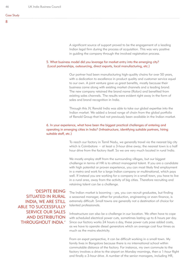A significant source of support proved to be the engagement of a leading Indian legal firm during the process of acquisition. This was very positive in guiding the company through the involved registration process.

## 5. What business model did you leverage for market entry into the emerging city? (Local partnerships, outsourcing, direct exports, local manufacturing, etc.)

Our partner had been manufacturing high-quality chains for over 50 years, with a dedication to excellence in product quality and customer service equal to our own. A joint venture gave us great benefits, mostly because their business came along with existing market channels and a leading brand. The new company retained the brand name (Rolon) and benefited from existing sales channels. The results were evident right away in the form of sales and brand recognition in India.

Through this JV, Renold India was able to take our global expertise into the Indian market. We added a broad range of chain from the global portfolio of Renold Group that had not previously been available in the Indian market.

## 6. In your experience, what have been the biggest practical challenges of entering and operating in emerging cities in India? (Infrastructure, identifying suitable partners, hiring suitable staff, etc.)

To reach our factory in Tamil Nadu, we generally travel via the nearest big city which is Coimbatore − at least a 3-hour drive away; the nearest town is a half hour drive from the factory itself. So we are very much located in rural India.

We mostly employ staff from the surrounding villages, but our biggest challenge in terms of HR is to attract managerial talent. If you are a candidate with high potential or proven experience, you can most likely find employment in a metro and work for a large Indian company or multinational, which pays well. If instead you are working for a company in a small town, you have to live in a rural area, away from the activity of big cities. Therefore recruiting and retaining talent can be a challenge.

'DESPITE BEING SITUATED IN RURAL INDIA, WE ARE STILL ABLE TO SUCCESSFULLY SERVICE OUR SALES AND DISTRIBUTION THROUGHOUT INDIA.'

The Indian market is booming – yes, you can recruit graduates, but finding a seasoned manager, either for production, engineering or even finance, is extremely difficult. Small towns are generally not a destination of choice for talented professionals.

Infrastructure can also be a challenge in our location. We often have to cope with scheduled electrical power cuts, sometimes lasting up to 6 hours per day. Since our factory works 24 hours a day, these power cuts pose added costs, as we have to operate diesel generators which on average cost four times as much as the mains electricity.

From an expat perspective, it can be difficult working in a small town. My family lives in Bangalore because there is no international school within commutable distance of the factory. For instance, my own commute to the factory involves a drive to the airport on Monday mornings, then a 1-hour flight and finally a 3-hour drive. A number of the senior managers, including HR,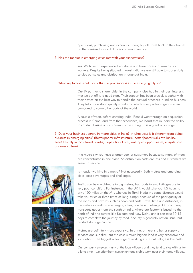operations, purchasing and accounts managers, all travel back to their homes on the weekend, as do I. This is common practice.

#### 7. Has the market in emerging cities met with your expectations?

Yes. We have an experienced workforce and have access to low-cost local workers. Despite being situated in rural India, we are still able to successfully service our sales and distribution throughout India.

#### 8. What key factors would you attribute your success in the emerging city to?

Our JV partner, a shareholder in the company, also had in their best interests that we got off to a good start. Their support has been crucial, together with their advice on the best way to handle the cultural practices in Indian business. They fully understand quality standards, which is very advantageous when compared to some other parts of the world.

A couple of years before entering India, Renold went through an acquisition process in China, and from that experience, we learnt that in India the ability to conduct business and communicate in English is a great advantage.

## 9. Does your business operate in metro cities in India? In what ways is it different from doing business in emerging cities? (Better/poorer infrastructure, better/poorer skills availability, ease/dificulty in local travel, low/high operational cost, untapped opportunities, easy/dificult business culture)

In a metro city you have a larger pool of customers because so many of them are concentrated in one place. So distribution costs are less and customers are easier to service.

Is it easier working in a metro? Not necessarily. Both metros and emerging cities pose advantages and challenges.

Traffic can be a nightmare in big metros, but roads in small villages are in very poor condition. For instance, in the UK it would take you 1.5 hours to drive 100 miles on the M1, whereas in Tamil Nadu the same distance would take you twice or three times as long, simply because of the poor quality of the roads and hazards such as cows and carts. Travel time and distances, in the metros as well as in emerging cities, can be a challenge. Our company transports goods from the south of India, where our factory is based, to the north of India to metros like Kolkata and New Delhi, and it can take 10-12 days to complete the journey by road. Security is generally not an issue, but product damage can be.

Metros are definitely more expensive. In a metro there is a better supply of services and supplies, but the cost is much higher: land is very expensive and so is labour. The biggest advantage of working in a small village is low costs.

Our company employs many of the local villagers and they tend to stay with us for a long time – we offer them convenient and stable work near their home villages.

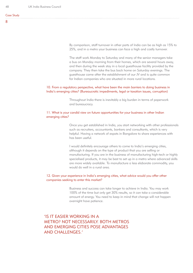By comparison, staff turnover in other parts of India can be as high as 15% to 25%, and in a metro your business can face a high and costly turnover.

The staff work Monday to Saturday and many of the senior managers take a bus on Monday morning from their homes, which are several hours away, and then during the week stay in a local guesthouse facility provided by the company. They then take the bus back home on Saturday evenings. The guesthouse came after the establishment of our JV and is quite common for Indian companies who are situated in more rural locations.

## 10. From a regulatory perspective, what have been the main barriers to doing business in India's emerging cities? (Bureaucratic impediments, legal or taxation issues, corruption)

Throughout India there is inevitably a big burden in terms of paperwork and bureaucracy.

## 11. What is your candid view on future opportunities for your business in other Indian emerging cities?

Once you get established in India, you start networking with other professionals such as recruiters, accountants, bankers and consultants, which is very helpful. Having a network of expats in Bangalore to share experiences with has been useful.

I would definitely encourage others to come to India's emerging cities, although it depends on the type of product that you are selling or manufacturing. If you are in the business of manufacturing high-tech or highly specialised products, it may be best to set up in a metro where advanced skills are more widely available. To manufacture a less elaborate commodity, you would do well in a rural area.

## 12. Given your experience in India's emerging cities, what advice would you offer other companies seeking to enter this market?

Business and success can take longer to achieve in India. You may work 100% of the time but only get 30% results, so it can take a considerable amount of energy. You need to keep in mind that change will not happen overnight have patience.

'IS IT EASIER WORKING IN A METRO? NOT NECESSARILY. BOTH METROS AND EMERGING CITIES POSE ADVANTAGES AND CHALLENGES.'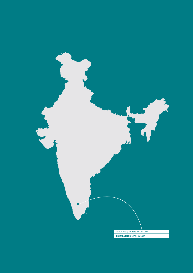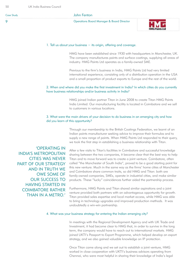| <b>Case Study</b> | John Fenton                                          |  |
|-------------------|------------------------------------------------------|--|
|                   | <b>Operations Board Manager &amp; Board Director</b> |  |

#### 1. Tell us about your business − its origin, offering and coverage.

HMG have been established since 1930 with headquarters in Manchester, UK. The company manufactures paints and surface coatings, supplying all areas of industry. HMG Paints Ltd operates as a family-owned SME.

Previous to the firm's business in India, HMG Paints Ltd had very limited international experience, consisting only of a distribution operation in the USA and a small proportion of product exports to Europe and the rest of the world.

## 2. When and where did you make the first investment in India? In which cities do you currently have business relationships and/or business activity in India?

HMG joined Indian partner Titan in June 2008 to create Titan HMG Paints India Limited. Our manufacturing facility is located in Coimbatore and we sell to customers in various locations.

#### 3. What were the main drivers of your decision to do business in an emerging city and how did you learn of this opportunity?

Through our membership to the British Coatings Federation, we learnt of an Indian paints manufacturer seeking advice to improve their formulas and to supply a new range of paints. When HMG Paints Ltd responded to their query, we took the first step in establishing a business relationship with Titan.

'OPERATING IN INDIA'S METROPOLITAN CITIES WAS NEVER PART OF OUR STRATEGY AND IN TRUTH WE OWE SOME OF OUR SUCCESS TO HAVING STARTED IN COIMBATORE RATHER THAN IN A METRO.'

After a few visits to Titan's facilities in Coimbatore and successful knowledge sharing between the two companies, it became clear that the best way to help Titan and to move forward was to create a joint venture. Coimbatore, often called "the Manchester of South India", proved to be a good starting point for this new venture. Much in the same way as the firms' home cities of Manchester and Coimbatore share common traits, so did HMG and Titan: both are family-owned companies, SMEs, operate in industrial cities, and make similar products. These "lucky" coincidences further aided the partnership process.

Furthermore, HMG Paints and Titan shared similar aspirations and a joint venture provided both partners with an advantageous opportunity for growth. Titan provided sales expertise and local market access, while HMG was able to bring in technology upgrades and improved production methods. It was undoubtedly a win-win partnership.

#### 4. What was your business strategy for entering the Indian emerging city?

In meetings with the Regional Development Agency and with UK Trade and Investment, it had become clear to HMG that, in order to survive in the long term, the company would have to reach out to international markets. HMG joined UKTI's Passport to Export Programme, which helped develop an export strategy, and we also gained valuable knowledge on IP protection.

Once Titan came along and we set out to establish a joint venture, HMG worked in close cooperation with UKTI's business advisors operating from Chennai, who were most helpful in sharing their knowledge of India's legal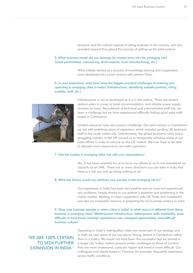structure and the cultural aspects of doing business in the country, and who provided support throughout the process of setting up the joint venture.

#### 5. What business model did you leverage for market entry into the emerging city? (Local partnerships, outsourcing, direct exports, local manufacturing, etc.)

What initially started as a process of knowledge sharing and cooperation soon developed into a joint venture with partner Titan.

## 6. In your experience, what have been the biggest practical challenges of entering and operating in emerging cities in India? (Infrastructure, identifying suitable partners, hiring suitable, staff, etc.)



Infrastructure is not as developed as it is in the metros. There are limited options when it comes to hotel accommodation, and reliable power supply remains an issue. Recruitment of technical and administrative staff has not been a challenge but we have experienced difficulty finding good sales staff based in Coimbatore.

Limited resources have also posed a challenge. Our joint venture in Coimbatore set out with ambitious plans of expansion, which included sending UK technical staff to the south Indian city. Unfortunately, the global economic crisis and a struggling industry in the UK caused us to temporarily withdraw some of our India efforts in order to refocus on the UK market. We now hope to be able to allocate more resources to our India operation.

#### 7. Has the market in emerging cities met with your expectations?

Yes. It has been essential for us to focus our efforts so as to not overextend our capacity as an SME. There are so many directions you can take in India that there is a risk you end up doing nothing at all.

#### 8. What key factors would you attribute your success in the emerging city to?

Our experience in India has been very positive and we have not experienced any problems, largely thanks to our partner's expertise and positioning in the Indian market. Working in close cooperation with UK Trade and Investment was also an invaluable resource in preparing for our business venture in India.

9. Does your business operate in metro cities in India? In what ways is it different from doing business in emerging cities? (Better/poorer infrastructure, better/poorer skills availability, ease/ dificulty in local travel, low/high operational cost, untapped opportunities, easy/dificult business culture)

# 'WE ARE 100% CERTAIN TO SEEK FURTHER EXPANSION IN INDIA.'

Operating in India's metropolitan cities was never part of our strategy and in truth we owe some of our success to having started in Coimbatore rather than in a metro. We would not have been this successful had we started in a larger city. Indian metros present similar challenges to those of London: they are more impersonal, costs are higher and travel is more difficult. Our colleagues and clients based in Chennai, for example, frequently experience severe traffic conditions.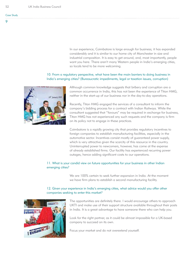In our experience, Coimbatore is large enough for business; it has expanded considerably and it is similar to our home city of Manchester in size and industrial composition. It is easy to get around, and, most importantly, people want you here. There aren't many Western people in India's emerging cities, so locals tend to be more welcoming.

## 10. From a regulatory perspective, what have been the main barriers to doing business in India's emerging cities? (Bureaucratic impediments, legal or taxation issues, corruption)



Although common knowledge suggests that bribery and corruption are a common occurrence in India, this has not been the experience of Titan HMG, neither in the start-up of our business nor in the day-to-day operations.

Recently, Titan HMG engaged the services of a consultant to inform the company's bidding process for a contract with Indian Railways. While the consultant suggested that "favours" may be required in exchange for business, Titan HMG has not experienced any such requests and the company is firm on its policy not to engage in these practices.

Coimbatore is a rapidly growing city that provides regulatory incentives to foreign companies to establish manufacturing facilities, especially in the automotive sector. Incentives consist mostly of guaranteed power supply, which is very attractive given the scarcity of this resource in the country. Uninterrupted power to newcomers, however, has come at the expense of already established firms. Our facility has experienced recurring power outages, hence adding significant costs to our operations.

## 11. What is your candid view on future opportunities for your business in other Indian emerging cities?

We are 100% certain to seek further expansion in India. At the moment we have firm plans to establish a second manufacturing facility.

## 12. Given your experience in India's emerging cities, what advice would you offer other companies seeking to enter this market?



The opportunities are definitely there. I would encourage others to approach UKTI and make use of their support structure available throughout their posts in India. It is a great advantage to have someone there who can help you.

Look for the right partner, as it could be almost impossible for a UK-based company to succeed on its own.

Focus your market and do not overextend yourself.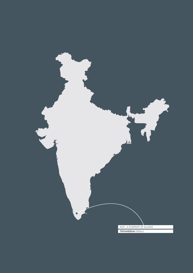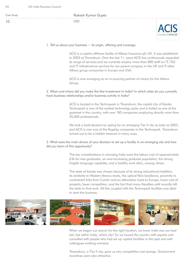| Case Study | Rakesh Kumar Gupta |  |
|------------|--------------------|--|
| 10         |                    |  |

#### 1. Tell us about your business − its origin, offering and coverage.

ACIS is a captive offshore facility of Allianz Insurance plc UK. It was established in 2003 at Trivandrum. Over the last 7+ years ACIS has continuously expanded its range of services and we currently employ more than 800 staff on IT, ITeS and IT infrastructure services for our parent company in the UK and 9 other Allianz group companies in Europe and USA.

ACIS is now emerging as an in-sourcing partner of choice for the Allianz Group.

## 2. When and where did you make the first investment in India? In which cities do you currently have business relationships and/or business activity in India?

ACIS is located in the Technopark in Trivandrum, the capital city of Kerala. Technopark is one of the earliest technology parks and is hailed as one of the greenest in the country, with over 185 companies employing directly more than 25,000 professionals.

We took a bold decision by opting for an emerging Tier II city as early as 2003, and ACIS is now one of the flagship companies in the Technopark. Trivandrum turned out to be a hidden treasure in many ways.

## 3. What were the main drivers of your decision to set up a facility in an emerging city and how did you learn of this opportunity?

The key considerations in choosing India were the labour cost of approximately £3k for new graduates, an ever-increasing graduate population, the strong English language capability, and a healthy work ethic, among others.

The state of Kerala was chosen because of its strong educational tradition, its similarity to Western literacy levels, the optical fibre backbone, proximity to continental links from Cochin and an alternative route to Europe, lower cost of property, lower competition, and the fact that many Keralites until recently left the state to find work. All this coupled with the Technopark facilities was ideal to start the business.



When we began our search for the right location, we knew India was our best bet, but within India, which city? So we toured the country with experts and consulted with people who had set up captive facilities in the past and with colleagues working overseas.

Trivandrum, a Tier II city, gave us very competitive cost savings. Government incentives were also attractive.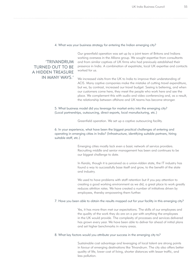#### 4. What was your business strategy for entering the Indian emerging city?

# 'TRIVANDRUM TURNED OUT TO BE A HIDDEN TREASURE IN MANY WAYS.'

Our greenfield operation was set up by a joint team of Britons and Indians working overseas in the Allianz group. We sought expertise from consultants and from similar captives of UK firms who had previously established their presence in India. A combination of expatriate, local UK expertise and contacts worked for us.

We increased visits from the UK to India to improve their understanding of ACIS. Many captive companies make the mistake of cutting travel expenditure, but we, by contrast, increased our travel budget. Seeing is believing, and when our customers come here, they meet the people who work here and see the place. We complement this with audio and video conferencing and, as a result, the relationship between offshore and UK teams has become stronger.

5. What business model did you leverage for market entry into the emerging city? (Local partnerships, outsourcing, direct exports, local manufacturing, etc.)

Greenfield operation. We set up a captive outsourcing facility.

6. In your experience, what have been the biggest practical challenges of entering and operating in emerging cities in India? (Infrastructure, identifying suitable partners, hiring suitable staff, etc.)

> Emerging cities mostly lack even a basic network of service providers. Recruiting middle and senior management has been and continues to be our biggest challenge to date.

In Kerala, though it is perceived as a union-ridden state, the IT industry has found a way to successfully base itself and grow, to the benefit of the state and industry.

We used to have problems with staff retention but if you pay attention to creating a good working environment as we did, a great place to work greatly reduces attrition rates. We have created a number of initiatives driven by employees, thereby empowering them further.

#### 7. Have you been able to obtain the results mapped out for your facility in this emerging city?

Yes, it has more than met our expectations. The skills of our employees and the quality of the work they do are on a par with anything the employees in the UK would provide. The complexity of processes and services delivered has grown every year. We have been able to deliver far ahead of initial plans and set higher benchmarks in many areas.

#### 8. What key factors would you attribute your success in the emerging city to?

Sustainable cost advantage and leveraging of local talent are strong points in favour of emerging destinations like Trivandrum. The city also offers better quality of life, lower cost of living, shorter distances with lesser traffic, and less pollution.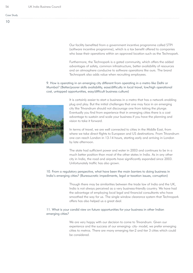Our facility benefited from a government incentive programme called STPI (software incentive programme), which is a tax benefit offered to companies who base their operations within an approved location such as the Technopark.

Furthermore, the Technopark is a gated community, which offers the added advantages of safety, common infrastructure, better availability of resources and an atmosphere conducive to software operations like ours. The brand Technopark also adds value when recruiting employees.

9. How is operating in an emerging city different from operating in a metro like Delhi or Mumbai? (Better/poorer skills availability, ease/dificulty in local travel, low/high operational cost, untapped opportunities, easy/dificult business culture)



It is certainly easier to start a business in a metro that has a network enabling plug and play. But the initial challenges that one may face in an emerging city like Trivandrum should not discourage one from taking the plunge. Eventually you find from experience that in emerging cities there is a cost advantage to sustain and scale your business if you have the planning and vision to take it forward.

In terms of travel, we are well connected to cities in the Middle East, from where we take direct flights to European and US destinations. From Trivandrum one can reach London in 13-14 hours, starting early and arriving in London by late afternoon.

The state had sufficient power and water in 2003 and continues to be in a much better position than most of the other states in India. As in any other city in India, the road and airports have significantly expanded since 2003. Unfortunately traffic has also grown.

10. From a regulatory perspective, what have been the main barriers to doing business in India's emerging cities? (Bureaucratic impediments, legal or taxation issues, corruption)

> Though there may be similarities between the trade law of India and the UK, India is not always perceived as a very business-friendly country. We have had the advantage of employing local legal and financial consultants who have smoothed the way for us. The single window clearance system that Technopark offers has also helped us a great deal.

# 11. What is your candid view on future opportunities for your business in other Indian emerging cities?

We are very happy with our decision to come to Trivandrum. Given our experience and the success of our emerging- city- model, we prefer emerging cities to metros. There are many emerging tier-2 and tier 3 cities which could be considered.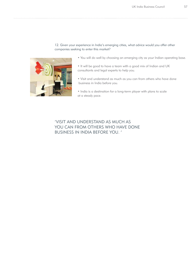## 12. Given your experience in India's emerging cities, what advice would you offer other companies seeking to enter this market?



- You will do well by choosing an emerging city as your Indian operating base.
- It will be good to have a team with a good mix of Indian and UK consultants and legal experts to help you.
- Visit and understand as much as you can from others who have done business in India before you.
- India is a destination for a long-term player with plans to scale at a steady pace.

'VISIT AND UNDERSTAND AS MUCH AS YOU CAN FROM OTHERS WHO HAVE DONE BUSINESS IN INDIA BEFORE YOU. '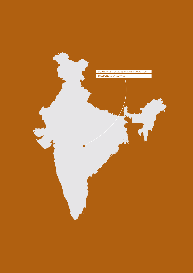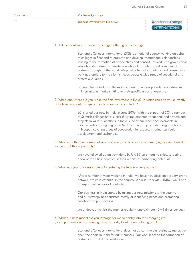11

# Michelle Grimley

Business Development Executive

# Scotland's Colleges INTERNATIONAL

#### 1. Tell us about your business − its origin, offering and coverage.

Scotland's Colleges International (SCI) is a national agency working on behalf of colleges in Scotland to promote and develop international relationships leading to the formation of partnerships and consortium work with government education departments, private educational institutions and commercial partners throughout the world. We provide bespoke solutions and consultancy work appropriate to the client's needs across a wide range of vocational and professional areas.

SCI enables individual colleges in Scotland to access potential opportunities in international markets fitting to their specific areas of expertise.

## 2. When and where did you make the first investment in India? In which cities do you currently have business relationships and/or business activity in India?

SCI started business in India in June 2006. With the support of SCI, a number of Scottish colleges have successfully implemented vocational and professional projects in various locations in India. One of our recent achievements in India includes the signing of an MOU with a group of Indian organisations in Nagpur, covering areas of cooperation in resource sharing, curriculum development and exchanges.

## 3. What were the main drivers of your decision to do business in an emerging city and how did you learn of this opportunity?

We have followed up on work done by UKIBC on emerging cities, targeting a few of the cities identified in their reports as harbouring potential.

#### 4. What was your business strategy for entering the Indian emerging city?

After a number of years working in India, we have now developed a very strong network, which is essential in the country. We also work with UKIBC, UKTI and an expansive network of contacts.

Our business in India started by taking business missions to the country and our strategy has consisted mostly of identifying needs and promoting collaborative partnerships.

We endeavour to visit the market regularly, approximately 5−6 times per year.

## 5. What business model did you leverage for market entry into the emerging city? (Local partnerships, outsourcing, direct exports, local manufacturing, etc.)

Scotland's Colleges International does not do commercial business; rather, we open the doors in India for our members. Our work leads to the formation of partnerships with local institutions.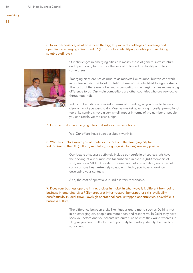## 6. In your experience, what have been the biggest practical challenges of entering and operating in emerging cities in India? (Infrastructure, identifying suitable partners, hiring suitable staff, etc.)

Our challenges in emerging cities are mostly those of general infrastructure and operational, for instance the lack of or limited availability of hotels in some areas.

Emerging cities are not as mature as markets like Mumbai but this can work in our favour because local institutions have not yet identified foreign partners. The fact that there are not so many competitors in emerging cities makes a big difference to us. Our main competitors are other countries who are very active throughout India.

India can be a difficult market in terms of branding, so you have to be very clear on what you want to do. Massive market advertising is costly: promotional tools like seminars have a very small impact in terms of the number of people you can reach, yet the cost is high.

## 7. Has the market in emerging cities met with your expectations?

Yes. Our efforts have been absolutely worth it.

## 8. What key factors would you attribute your success in the emerging city to? India's links to the UK (cultural, regulatory, language similarities) are very positive.

Our factors of success definitely include our portfolio of courses. We have the backing of our human capital embodied in over 20,000 members of staff; and over 500,000 students trained annually. In addition, our external contacts have been extremely valuable; in India, you have to work on developing your contacts.

Also, the cost of operations in India is very reasonable.

9. Does your business operate in metro cities in India? In what ways is it different from doing business in emerging cities? (Better/poorer infrastructure, better/poorer skills availability, ease/dificulty in local travel, low/high operational cost, untapped opportunities, easy/dificult business culture)

> The difference between a city like Nagpur and a metro such as Delhi is that in an emerging city people are more open and responsive. In Delhi they have seen you before and your clients are quite sure of what they want, whereas in Nagpur you could still take the opportunity to carefully identify the needs of your client.

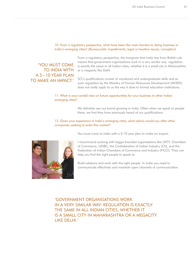#### 10. From a regulatory perspective, what have been the main barriers to doing business in India's emerging cities? (Bureaucratic impediments, legal or taxation issues, corruption)

# 'YOU MUST COME TO INDIA WITH A 5−10 YEAR PLAN TO MAKE AN IMPACT.'

From a regulatory perspective, the hangover that India has from British rule means that government organisations work in a very similar way: regulation is exactly the same in all Indian cities, whether it is a small city in Maharashtra or a megacity like Delhi.

SCI's qualifications consist of vocational and undergraduate skills and as such regulation by the Ministry of Human Resources Development (MHRD) does not really apply to us the way it does to formal education institutions.

#### 11. What is your candid view on future opportunities for your business in other Indian emerging cities?

We definitely see our brand growing in India. Often when we speak to people there, we find they have previously heard of our qualifications.

#### 12. Given your experience in India's emerging cities, what advice would you offer other companies seeking to enter this market?

You must come to India with a 5-10 year plan to make an impact.



I recommend working with bigger branded organisations like UKTI; Chambers of Commerce; UKIBC; the Confederation of Indian Industry (CII); and the Federation of Indian Chambers of Commerce and Industry (FICCI). They can help you find the right people to speak to.

Build relations and work with the right people. In India you need to communicate effectively and maintain open channels of communication.

'GOVERNMENT ORGANISATIONS WORK IN A VERY SIMILAR WAY: REGULATION IS EXACTLY THE SAME IN ALL INDIAN CITIES, WHETHER IT IS A SMALL CITY IN MAHARASHTRA OR A MEGACITY LIKE DELHI.'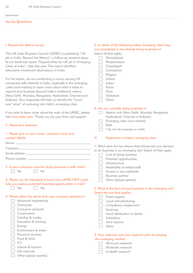Appendices

## Survey Questions

#### I. Beyond the Metros survey

The UK India Business Council (UKIBC) is publishing "UK plc in India: Beyond the Metros", a follow-up research piece to our landmark report "Opportunities for UK plc in Emerging Cities of India", later this year. The report identifies alternative investment destinations in India.

For the report, we are conducting a survey among UK companies with interests in India, especially in the emerging cities (non-metros) to learn more about what it takes to expand your business beyond India's traditional metros (New Delhi, Mumbai, Bangalore, Hyderabad, Chennai and Kolkata). Your responses will help us identify the "hows" and "whys" of venturing into India's emerging cities.

If you wish to learn more about the work of the UKIBC, please visit www.ukibc.com. Thank you for your time and support.

II. About your business

## 1. Please give us your name, company name and contact details:

| Name:            |
|------------------|
| Company:         |
| Email address:__ |
|                  |
| Phone number:    |

 $\Box$  Yes

2. Is your company currently doing business in/with India?<br> $\square \simeq \square \simeq \square$ 

## 3. Would you be interested to know how UKIBC/UKTI could help you explore potential business opportunities in India?

| ۹<br>ı<br>T |  | , |  |  | N |
|-------------|--|---|--|--|---|
|-------------|--|---|--|--|---|

# 4. Please select the sector that your company operates in:

| Advanced engineering |
|----------------------|
| Chemicals            |
| Consumer products    |
| Construction         |
| Creative & media     |
| Education & training |
| Energy               |
| Environment & water  |
| Financial services   |
| Food & drink         |

- T ICT
- Leisure & tourism
- Life sciences
- Other (please specify)

| 5. In which of the following Indian emerging cities have |
|----------------------------------------------------------|
| you considered or are already doing business in?         |

| Select all that apply:                  |
|-----------------------------------------|
| Ahmadabad                               |
| Bhubaneswar                             |
| Chandigarh                              |
| Coimbatore                              |
| Nagpur                                  |
| Indore                                  |
| Jaipur                                  |
| Kochi                                   |
| Pune                                    |
| Vadodara                                |
| Other                                   |
| 6. Are you currently doing business in: |

|  | Metros only (New Delhi, Mumbai, Bangalore,                                                                      |
|--|-----------------------------------------------------------------------------------------------------------------|
|  | Hyderabad, Chennai or Kolkata)                                                                                  |
|  | $\Box$ Emerging cities (non-metros)                                                                             |
|  | l Both                                                                                                          |
|  | and the state of the state of the state of the state of the state of the state of the state of the state of the |

 $\Box$  I do not do business in India

## III. Experience in India's emerging cities

|   | 1. What were the key drivers that influenced your decision |
|---|------------------------------------------------------------|
|   | to do business in an emerging city? Select all that apply: |
|   | Cost of doing business                                     |
|   | Potential opportunities                                    |
|   | Infrastructure                                             |
|   | Availability of skilled staff                              |
|   | Access to raw materials                                    |
|   | <b>Business partner</b>                                    |
| d | Other (please specify)                                     |
|   |                                                            |
|   | 2. What is the form of your business in the emerging city? |
|   | Select the one that applies:                               |
|   | Direct exports                                             |
|   | Local manufacturing                                        |
|   | Consultancy assignment                                     |
|   | Sourcing                                                   |
|   | Local distribution or dealer                               |
|   | Subsidiary                                                 |
|   | Joint venture                                              |

- 3. How extensive was your research prior to entering the emerging market?
	- Minimum research
	- Moderate research
	- $\Box$  In-depth research

Other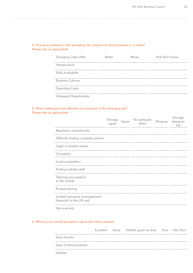## 4. How does business in the emerging city compare to doing business in a metro? Please rate as appropriate

| <b>Emerging Cities Offer</b> | <b>Better</b> | Worse | N/A Don't know |
|------------------------------|---------------|-------|----------------|
| Infrastructure               |               |       |                |
| <b>Skills Availability</b>   |               |       |                |
| <b>Business Cultures</b>     |               |       |                |
| <b>Operating Costs</b>       |               |       |                |
| Untapped Opportunities       |               |       |                |

## 5. What challenges have affected your business in the emerging city? Please rate as appropriate.

|                                                            | Strongly<br>agree | Agree | No particular<br>effect | Disagree | Strongle<br>disagree/<br><b>NA</b> |
|------------------------------------------------------------|-------------------|-------|-------------------------|----------|------------------------------------|
| Regulatory impediments                                     |                   |       |                         |          |                                    |
| Difficulty finding a suitable partner                      |                   |       |                         |          |                                    |
| Legal or taxation issues                                   |                   |       |                         |          |                                    |
| Corruption                                                 |                   |       |                         |          |                                    |
| Local competition                                          |                   |       |                         |          |                                    |
| Finding suitable staff                                     |                   |       |                         |          |                                    |
| Tailoring your product<br>to the market                    |                   |       |                         |          |                                    |
| Product pricing                                            |                   |       |                         |          |                                    |
| Limited resources (management/<br>financial) at the UK end |                   |       |                         |          |                                    |
| Not a priority                                             |                   |       |                         |          |                                    |

## 6. What is your overall perception about the Indian market?

|                        |  | Excellent Good Neither good nor bad Poor Very Poor |  |
|------------------------|--|----------------------------------------------------|--|
| Ease of entry          |  |                                                    |  |
| Ease of doing business |  |                                                    |  |
| Stability              |  |                                                    |  |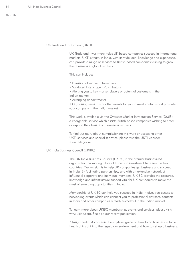$64$ 

#### UK Trade and Investment (UKTI)

UK Trade and Investment helps UK-based companies succeed in international markets. UKTI's team in India, with its wide local knowledge and experience, can provide a range of services to British-based companies wishing to grow their business in global markets.

This can include:

- Provision of market information
- Validated lists of agents/distributors
- Alerting you to key market players or potential customers in the
- Indian market
- Arranging appointments

• Organising seminars or other events for you to meet contacts and promote your company in the Indian market

This work is available via the Overseas Market Introduction Service (OMIS), a chargeable service which assists British-based companies wishing to enter or expand their business in overseas markets.

To find out more about commissioning this work or accessing other UKTI services and specialist advice, please visit the UKTI website: www.ukti.gov.uk

### UK India Business Council (UKIBC)

The UK India Business Council (UKIBC) is the premier business-led organisation promoting bilateral trade and investment between the two countries. Our mission is to help UK companies get business and succeed in India. By facilitating partnerships, and with an extensive network of influential corporate and individual members, UKIBC provides the resource, knowledge and infrastructure support vital for UK companies to make the most of emerging opportunities in India.

Membership of UKIBC can help you succeed in India. It gives you access to networking events which can connect you to professional advisors, contacts in India and other companies already successful in the Indian market.

To learn more about UKIBC membership, events and services, please visit: www.ukibc.com. See also our recent publication:

• Insight India: A convenient entry-level guide on how to do business in India. Practical insight into the regulatory environment and how to set up a business.